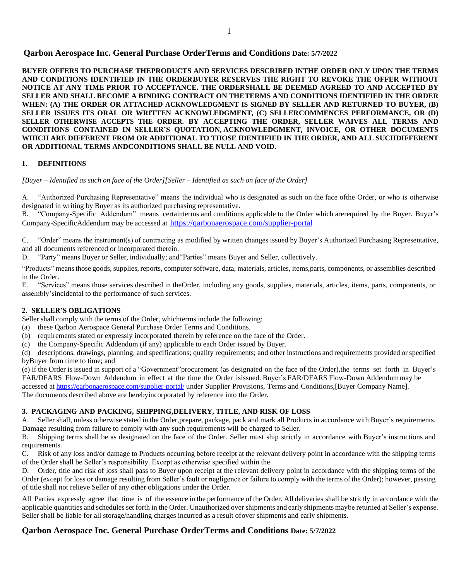**BUYER OFFERS TO PURCHASE THEPRODUCTS AND SERVICES DESCRIBED INTHE ORDER ONLY UPON THE TERMS AND CONDITIONS IDENTIFIED IN THE ORDER. BUYER RESERVES THE RIGHT TO REVOKE THE OFFER WITHOUT NOTICE AT ANY TIME PRIOR TO ACCEPTANCE. THE ORDERSHALL BE DEEMED AGREED TO AND ACCEPTED BY SELLER AND SHALL BECOME A BINDING CONTRACT ON THETERMS AND CONDITIONS IDENTIFIED IN THE ORDER WHEN: (A) THE ORDER OR ATTACHED ACKNOWLEDGMENT IS SIGNED BY SELLER AND RETURNED TO BUYER, (B) SELLER ISSUES ITS ORAL OR WRITTEN ACKNOWLEDGMENT, (C) SELLERCOMMENCES PERFORMANCE, OR (D) SELLER OTHERWISE ACCEPTS THE ORDER. BY ACCEPTING THE ORDER, SELLER WAIVES ALL TERMS AND CONDITIONS CONTAINED IN SELLER'S QUOTATION, ACKNOWLEDGMENT, INVOICE, OR OTHER DOCUMENTS WHICH ARE DIFFERENT FROM OR ADDITIONAL TO THOSE IDENTIFIED IN THE ORDER, AND ALL SUCHDIFFERENT OR ADDITIONAL TERMS ANDCONDITIONS SHALL BE NULL AND VOID.**

#### **1. DEFINITIONS**

[Buyer – Identified as such on face of the Order][Seller – Identified as such on face of the Order]

A. "Authorized Purchasing Representative" means the individual who is designated as such on the face ofthe Order, or who is otherwise designated in writing by Buyer as its authorized purchasing representative.

B. "Company-Specific Addendum" means certainterms and conditions applicable to the Order which arerequired by the Buyer. Buyer's Company-SpecificAddendum may be accessed at <https://qarbonaerospace.com/supplier-portal>

C. "Order" means the instrument(s) of contracting as modified by written changes issued by Buyer's Authorized Purchasing Representative, and all documents referenced or incorporated therein.

D. "Party" means Buyer or Seller, individually; and"Parties" means Buyer and Seller, collectively.

"Products" meansthose goods, supplies, reports, computer software, data, materials, articles, items,parts, components, or assemblies described in the Order.

E. "Services" means those services described in theOrder, including any goods, supplies, materials, articles, items, parts, components, or assembly'sincidental to the performance of such services.

### **2. SELLER'S OBLIGATIONS**

Seller shall comply with the terms of the Order, whichterms include the following:

- (a) these Qarbon Aerospace General Purchase Order Terms and Conditions.
- (b) requirements stated or expressly incorporated therein by reference on the face of the Order.
- (c) the Company-Specific Addendum (if any) applicable to each Order issued by Buyer.

(d) descriptions, drawings, planning, and specifications; quality requirements; and other instructions and requirements provided or specified byBuyer from time to time; and

(e) if the Order is issued in support of a "Government"procurement (as designated on the face of the Order),the terms set forth in Buyer's FAR/DFARS Flow-Down Addendum in effect at the time the Order isissued. Buyer's FAR/DFARS Flow-Down Addendum may be accessed at <https://qarbonaerospace.com/supplier-portal/> under Supplier Provisions, Terms and Conditions,[Buyer Company Name]. The documents described above are herebyincorporated by reference into the Order.

#### **3. PACKAGING AND PACKING, SHIPPING,DELIVERY, TITLE, AND RISK OF LOSS**

A. Seller shall, unless otherwise stated in the Order,prepare, package, pack and mark all Products in accordance with Buyer's requirements. Damage resulting from failure to comply with any such requirements will be charged to Seller.

B. Shipping terms shall be as designated on the face of the Order. Seller must ship strictly in accordance with Buyer's instructions and requirements.

C. Risk of any loss and/or damage to Products occurring before receipt at the relevant delivery point in accordance with the shipping terms of the Order shall be Seller's responsibility. Except as otherwise specified within the

D. Order, title and risk of loss shall pass to Buyer upon receipt at the relevant delivery point in accordance with the shipping terms of the Order (except for loss or damage resulting from Seller's fault or negligence or failure to comply with the terms of the Order); however, passing of title shall not relieve Seller of any other obligations under the Order.

All Parties expressly agree that time is of the essence in the performance of the Order. All deliveries shall be strictly in accordance with the applicable quantities and schedules set forth in the Order. Unauthorized over shipments and early shipments maybe returned at Seller's expense. Seller shall be liable for all storage/handling charges incurred as a result of over shipments and early shipments.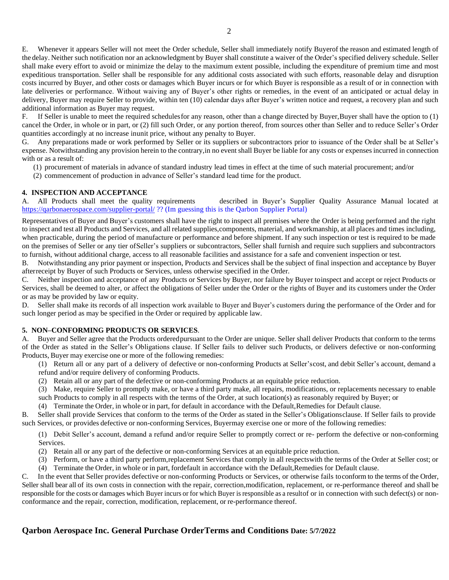E. Whenever it appears Seller will not meet the Order schedule, Seller shall immediately notify Buyerof the reason and estimated length of the delay. Neither such notification nor an acknowledgment by Buyer shall constitute a waiver of the Order's specified delivery schedule. Seller shall make every effort to avoid or minimize the delay to the maximum extent possible, including the expenditure of premium time and most expeditious transportation. Seller shall be responsible for any additional costs associated with such efforts, reasonable delay and disruption costs incurred by Buyer, and other costs or damages which Buyer incurs or for which Buyer is responsible as a result of or in connection with late deliveries or performance. Without waiving any of Buyer's other rights or remedies, in the event of an anticipated or actual delay in delivery, Buyer may require Seller to provide, within ten (10) calendar days after Buyer's written notice and request, a recovery plan and such additional information as Buyer may request.

F. If Seller is unable to meet the required schedules for any reason, other than a change directed by Buyer,Buyer shall have the option to (1) cancel the Order, in whole or in part, or (2) fill such Order, or any portion thereof, from sources other than Seller and to reduce Seller's Order quantities accordingly at no increase inunit price, without any penalty to Buyer.

G. Any preparations made or work performed by Seller or its suppliers or subcontractors prior to issuance of the Order shall be at Seller's expense. Notwithstanding any provision herein to the contrary,in no event shall Buyer be liable for any costs or expenses incurred in connection with or as a result of:

(1) procurement of materials in advance of standard industry lead times in effect at the time of such material procurement; and/or

(2) commencement of production in advance of Seller's standard lead time for the product.

#### **4. INSPECTION AND ACCEPTANCE**

A. All Products shall meet the quality requirements described in Buyer's Supplier Quality Assurance Manual located at <https://qarbonaerospace.com/supplier-portal/> ?? (Im guessing this is the Qarbon Supplier Portal)

Representatives of Buyer and Buyer's customers shall have the right to inspect all premises where the Order is being performed and the right to inspect and test all Products and Services, and all related supplies,components, material, and workmanship, at all places and times including, when practicable, during the period of manufacture or performance and before shipment. If any such inspection or test is required to be made on the premises of Seller or any tier of Seller's suppliers or subcontractors, Seller shall furnish and require such suppliers and subcontractors to furnish, without additional charge, access to all reasonable facilities and assistance for a safe and convenient inspection or test.

B. Notwithstanding any prior payment or inspection, Products and Services shall be the subject of final inspection and acceptance by Buyer after receipt by Buyer of such Products or Services, unless otherwise specified in the Order.

C. Neither inspection and acceptance of any Products or Services by Buyer, nor failure by Buyer to inspect and accept or reject Products or Services, shall be deemed to alter, or affect the obligations of Seller under the Order or the rights of Buyer and its customers under the Order or as may be provided by law or equity.

D. Seller shall make its records of all inspection work available to Buyer and Buyer's customers during the performance of the Order and for such longer period as may be specified in the Order or required by applicable law.

### **5. NON–CONFORMING PRODUCTS OR SERVICES**.

A. Buyer and Seller agree that the Products ordered pursuant to the Order are unique. Seller shall deliver Products that conform to the terms of the Order as stated in the Seller's Obligations clause. If Seller fails to deliver such Products, or delivers defective or non-conforming Products, Buyer may exercise one or more of the following remedies:

(1) Return all or any part of a delivery of defective or non-conforming Products at Seller's cost, and debit Seller's account, demand a refund and/or require delivery of conforming Products.

- (2) Retain all or any part of the defective or non-conforming Products at an equitable price reduction.
- (3) Make, require Seller to promptly make, or have a third party make, all repairs, modifications, or replacements necessary to enable
- such Products to comply in all respects with the terms of the Order, at such location(s) as reasonably required by Buyer; or
- (4) Terminate the Order, in whole or in part, for default in accordance with the Default, Remedies for Default clause.

B. Seller shall provide Services that conform to the terms of the Order as stated in the Seller's Obligations clause. If Seller fails to provide such Services, or provides defective or non-conforming Services, Buyermay exercise one or more of the following remedies:

(1) Debit Seller's account, demand a refund and/or require Seller to promptly correct or re- perform the defective or non-conforming Services.

- (2) Retain all or any part of the defective or non-conforming Services at an equitable price reduction.
- (3) Perform, or have a third party perform,replacement Services that comply in all respectswith the terms of the Order at Seller cost; or
- (4) Terminate the Order, in whole or in part, fordefault in accordance with the Default,Remedies for Default clause.

C. In the event that Seller provides defective or non-conforming Products or Services, or otherwise fails to conform to the terms of the Order, Seller shall bear all of its own costs in connection with the repair, correction,modification, replacement, or re-performance thereof and shall be responsible for the costs or damages which Buyer incurs or for which Buyer is responsible as a result of or in connection with such defect(s) or nonconformance and the repair, correction, modification, replacement, or re-performance thereof.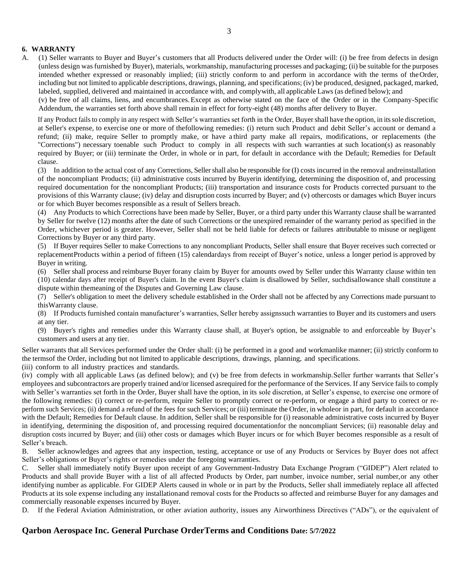### **6. WARRANTY**

A. (1) Seller warrants to Buyer and Buyer's customers that all Products delivered under the Order will: (i) be free from defects in design (unless design was furnished by Buyer), materials, workmanship, manufacturing processes and packaging; (ii) be suitable for the purposes intended whether expressed or reasonably implied; (iii) strictly conform to and perform in accordance with the terms of the Order, including but not limited to applicable descriptions, drawings, planning, and specifications; (iv) be produced, designed, packaged, marked, labeled, supplied, delivered and maintained in accordance with, and complywith, all applicable Laws (as defined below); and

(v) be free of all claims, liens, and encumbrances.Except as otherwise stated on the face of the Order or in the Company-Specific Addendum, the warranties set forth above shall remain in effect for forty-eight (48) months after delivery to Buyer.

If any Product fails to comply in any respect with Seller's warranties set forth in the Order, Buyershall have the option, in itssole discretion, at Seller's expense, to exercise one or more of thefollowing remedies: (i) return such Product and debit Seller's account or demand a refund; (ii) make, require Seller to promptly make, or have a third party make all repairs, modifications, or replacements (the "Corrections") necessary toenable such Product to comply in all respects with such warranties at such location(s) as reasonably required by Buyer; or (iii) terminate the Order, in whole or in part, for default in accordance with the Default; Remedies for Default clause.

(3) In addition to the actual cost of any Corrections, Sellershall also be responsible for (I) costs incurred in the removal and reinstallation of the noncompliant Products; (ii) administrative costs incurred by Buyerin identifying, determining the disposition of, and processing required documentation for the noncompliant Products; (iii) transportation and insurance costs for Products corrected pursuant to the provisions of this Warranty clause; (iv) delay and disruption costs incurred by Buyer; and (v) othercosts or damages which Buyer incurs or for which Buyer becomes responsible as a result of Sellers breach.

(4) Any Products to which Corrections have been made by Seller, Buyer, or a third party under this Warranty clause shall be warranted by Seller for twelve (12) months after the date of such Corrections or the unexpired remainder of the warranty period as specified in the Order, whichever period is greater. However, Seller shall not be held liable for defects or failures attributable to misuse or negligent Corrections by Buyer or any third party.

(5) If Buyer requires Seller to make Corrections to any noncompliant Products, Seller shall ensure that Buyer receives such corrected or replacement Products within a period of fifteen (15) calendardays from receipt of Buyer's notice, unless a longer period is approved by Buyer in writing.

(6) Seller shall process and reimburse Buyer for any claim by Buyer for amounts owed by Seller under this Warranty clause within ten (10) calendar days after receipt of Buyer's claim. In the event Buyer's claim is disallowed by Seller, such disallowance shall constitute a dispute within themeaning of the Disputes and Governing Law clause.

(7) Seller's obligation to meet the delivery schedule established in the Order shall not be affected by any Corrections made pursuant to thisWarranty clause.

(8) If Products furnished contain manufacturer's warranties, Seller hereby assignssuch warranties to Buyer and its customers and users at any tier.

(9) Buyer's rights and remedies under this Warranty clause shall, at Buyer's option, be assignable to and enforceable by Buyer's customers and users at any tier.

Seller warrants that all Services performed under the Order shall: (i) be performed in a good and workmanlike manner; (ii) strictly conform to the termsof the Order, including but not limited to applicable descriptions, drawings, planning, and specifications.

(iii) conform to all industry practices and standards.

(iv) comply with all applicable Laws (as defined below); and (v) be free from defects in workmanship.Seller further warrants that Seller's employees and subcontractors are properly trained and/or licensed asrequired for the performance of the Services. If any Service fails to comply with Seller's warranties set forth in the Order, Buyer shall have the option, in its sole discretion, at Seller's expense, to exercise one ormore of the following remedies: (i) correct or re-perform, require Seller to promptly correct or re-perform, or engage a third party to correct or reperform such Services; (ii) demand a refund of the fees for such Services; or (iii) terminate the Order, in wholeor in part, for default in accordance with the Default; Remedies for Default clause. In addition, Seller shall be responsible for (i) reasonable administrative costs incurred by Buyer in identifying, determining the disposition of, and processing required documentationfor the noncompliant Services; (ii) reasonable delay and disruption costs incurred by Buyer; and (iii) other costs or damages which Buyer incurs or for which Buyer becomes responsible as a result of Seller's breach.

B. Seller acknowledges and agrees that any inspection, testing, acceptance or use of any Products or Services by Buyer does not affect Seller's obligations or Buyer's rights or remedies under the foregoing warranties.

C. Seller shall immediately notify Buyer upon receipt of any Government-Industry Data Exchange Program ("GIDEP") Alert related to Products and shall provide Buyer with a list of all affected Products by Order, part number, invoice number, serial number, or any other identifying number as applicable. For GIDEP Alerts caused in whole or in part by the Products, Seller shall immediately replace all affected Products at its sole expense including any installationand removal costs for the Products so affected and reimburse Buyer for any damages and commercially reasonable expenses incurred by Buyer.

D. If the Federal Aviation Administration, or other aviation authority, issues any Airworthiness Directives ("ADs"), or the equivalent of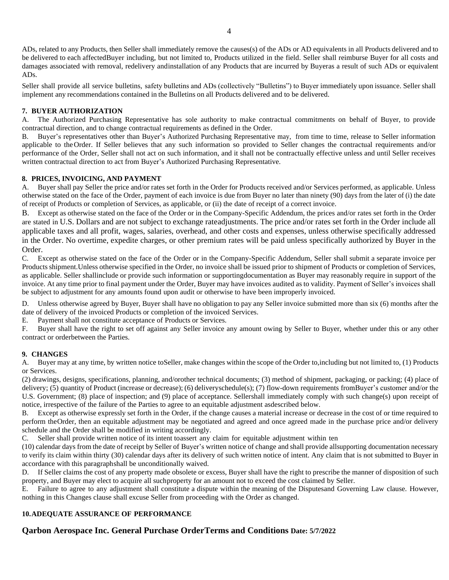ADs, related to any Products, then Seller shall immediately remove the causes(s) of the ADs or AD equivalents in all Products delivered and to be delivered to each affectedBuyer including, but not limited to, Products utilized in the field. Seller shall reimburse Buyer for all costs and damages associated with removal, redelivery andinstallation of any Products that are incurred by Buyeras a result of such ADs or equivalent ADs.

Seller shall provide all service bulletins, safety bulletins and ADs (collectively "Bulletins") to Buyer immediately upon issuance. Seller shall implement any recommendations contained in the Bulletins on all Products delivered and to be delivered.

### **7. BUYER AUTHORIZATION**

A. The Authorized Purchasing Representative has sole authority to make contractual commitments on behalf of Buyer, to provide contractual direction, and to change contractual requirements as defined in the Order.

B. Buyer's representatives other than Buyer's Authorized Purchasing Representative may, from time to time, release to Seller information applicable to theOrder. If Seller believes that any such information so provided to Seller changes the contractual requirements and/or performance of the Order, Seller shall not act on such information, and it shall not be contractually effective unless and until Seller receives written contractual direction to act from Buyer's Authorized Purchasing Representative.

### **8. PRICES, INVOICING, AND PAYMENT**

A. Buyer shall pay Seller the price and/or rates set forth in the Order for Products received and/or Services performed, as applicable. Unless otherwise stated on the face of the Order, payment of each invoice is due from Buyer no later than ninety (90) days from the later of (i) the date of receipt of Products or completion of Services, as applicable, or (ii) the date of receipt of a correct invoice.

B. Except as otherwise stated on the face of the Order or in the Company-Specific Addendum, the prices and/or rates set forth in the Order are stated in U.S. Dollars and are not subject to exchange rateadjustments. The price and/or rates set forth in the Order include all applicable taxes and all profit, wages, salaries, overhead, and other costs and expenses, unless otherwise specifically addressed in the Order. No overtime, expedite charges, or other premium rates will be paid unless specifically authorized by Buyer in the Order.

C. Except as otherwise stated on the face of the Order or in the Company-Specific Addendum, Seller shall submit a separate invoice per Products shipment.Unless otherwise specified in the Order, no invoice shall be issued prior to shipment of Products or completion of Services, as applicable. Seller shallinclude or provide such information or supportingdocumentation as Buyer may reasonably require in support of the invoice. At any time prior to final payment under the Order, Buyer may have invoices audited as to validity. Payment of Seller's invoices shall be subject to adjustment for any amounts found upon audit or otherwise to have been improperly invoiced.

D. Unless otherwise agreed by Buyer, Buyer shall have no obligation to pay any Seller invoice submitted more than six (6) months after the date of delivery of the invoiced Products or completion of the invoiced Services.

E. Payment shall not constitute acceptance of Products or Services.

F. Buyer shall have the right to set off against any Seller invoice any amount owing by Seller to Buyer, whether under this or any other contract or orderbetween the Parties.

### **9. CHANGES**

A. Buyer may at any time, by written notice toSeller, make changes within the scope of the Order to,including but not limited to, (1) Products or Services.

(2) drawings, designs, specifications, planning, and/orother technical documents; (3) method of shipment, packaging, or packing; (4) place of delivery; (5) quantity of Product (increase or decrease); (6) deliveryschedule(s); (7) flow-down requirements fromBuyer's customer and/or the U.S. Government; (8) place of inspection; and (9) place of acceptance. Sellershall immediately comply with such change(s) upon receipt of notice, irrespective of the failure of the Parties to agree to an equitable adjustment asdescribed below.

B. Except as otherwise expressly set forth in the Order, if the change causes a material increase or decrease in the cost of or time required to perform theOrder, then an equitable adjustment may be negotiated and agreed and once agreed made in the purchase price and/or delivery schedule and the Order shall be modified in writing accordingly.

C. Seller shall provide written notice of its intent toassert any claim for equitable adjustment within ten

(10) calendar days from the date of receipt by Seller of Buyer's written notice of change and shall provide allsupporting documentation necessary to verify its claim within thirty (30) calendar days after its delivery of such written notice of intent. Any claim that is not submitted to Buyer in accordance with this paragraphshall be unconditionally waived.

D. If Seller claims the cost of any property made obsolete or excess, Buyer shall have the right to prescribe the manner of disposition of such property, and Buyer may elect to acquire all suchproperty for an amount not to exceed the cost claimed by Seller.

E. Failure to agree to any adjustment shall constitute a dispute within the meaning of the Disputesand Governing Law clause. However, nothing in this Changes clause shall excuse Seller from proceeding with the Order as changed.

### **10.ADEQUATE ASSURANCE OF PERFORMANCE**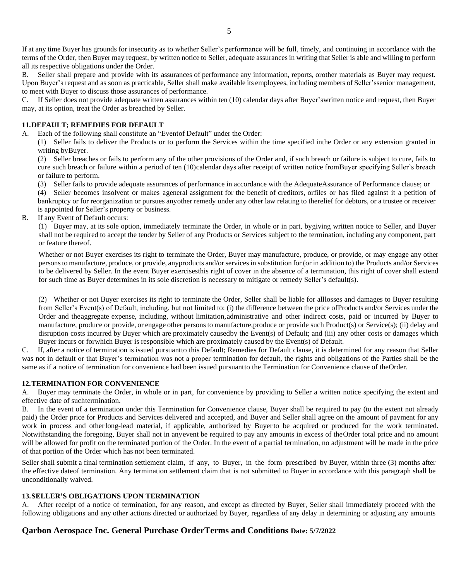If at any time Buyer has grounds for insecurity as to whether Seller's performance will be full, timely, and continuing in accordance with the terms of the Order, then Buyer may request, by written notice to Seller, adequate assurances in writing that Seller is able and willing to perform all its respective obligations under the Order.

B. Seller shall prepare and provide with its assurances of performance any information, reports, orother materials as Buyer may request. Upon Buyer's request and as soon as practicable, Seller shall make available its employees, including members of Seller'ssenior management, to meet with Buyer to discuss those assurances of performance.

C. If Seller does not provide adequate written assurances within ten (10) calendar days after Buyer'swritten notice and request, then Buyer may, at its option, treat the Order as breached by Seller.

### **11.DEFAULT; REMEDIES FOR DEFAULT**

A. Each of the following shall constitute an "Eventof Default" under the Order:

(1) Seller fails to deliver the Products or to perform the Services within the time specified inthe Order or any extension granted in writing byBuyer.

(2) Seller breaches or fails to perform any of the other provisions of the Order and, if such breach or failure is subject to cure, fails to cure such breach or failure within a period of ten (10)calendar days after receipt of written notice fromBuyer specifying Seller's breach or failure to perform.

(3) Seller fails to provide adequate assurances of performance in accordance with the AdequateAssurance of Performance clause; or

(4) Seller becomes insolvent or makes ageneral assignment for the benefit of creditors, orfiles or has filed against it a petition of bankruptcy or for reorganization or pursues anyother remedy under any other law relating to therelief for debtors, or a trustee or receiver is appointed for Seller's property or business.

B. If any Event of Default occurs:

(1) Buyer may, at its sole option, immediately terminate the Order, in whole or in part, bygiving written notice to Seller, and Buyer shall not be required to accept the tender by Seller of any Products or Services subject to the termination, including any component, part or feature thereof.

Whether or not Buyer exercises its right to terminate the Order, Buyer may manufacture, produce, or provide, or may engage any other personsto manufacture, produce, or provide, anyproducts and/or services in substitution for (or in addition to) the Products and/or Services to be delivered by Seller. In the event Buyer exercisesthis right of cover in the absence of a termination, this right of cover shall extend for such time as Buyer determines in its sole discretion is necessary to mitigate or remedy Seller's default(s).

(2) Whether or not Buyer exercises its right to terminate the Order, Seller shall be liable for alllosses and damages to Buyer resulting from Seller's Event(s) of Default, including, but not limited to: (i) the difference between the price ofProducts and/or Services under the Order and theaggregate expense, including, without limitation,administrative and other indirect costs, paid or incurred by Buyer to manufacture, produce or provide, or engage other personsto manufacture,produce or provide such Product(s) or Service(s); (ii) delay and disruption costs incurred by Buyer which are proximately causedby the Event(s) of Default; and (iii) any other costs or damages which Buyer incurs or forwhich Buyer is responsible which are proximately caused by the Event(s) of Default.

C. If, after a notice of termination is issued pursuant to this Default; Remedies for Default clause, it is determined for any reason that Seller was not in default or that Buyer's termination was not a proper termination for default, the rights and obligations of the Parties shall be the same as if a notice of termination for convenience had been issued pursuantto the Termination for Convenience clause of theOrder.

### **12.TERMINATION FOR CONVENIENCE**

A. Buyer may terminate the Order, in whole or in part, for convenience by providing to Seller a written notice specifying the extent and effective date of suchtermination.

B. In the event of a termination under this Termination for Convenience clause, Buyer shall be required to pay (to the extent not already paid) the Order price for Products and Services delivered and accepted, and Buyer and Seller shall agree on the amount of payment for any work in process and otherlong-lead material, if applicable, authorized by Buyerto be acquired or produced for the work terminated. Notwithstanding the foregoing, Buyer shall not in anyevent be required to pay any amounts in excess of theOrder total price and no amount will be allowed for profit on the terminated portion of the Order. In the event of a partial termination, no adjustment will be made in the price of that portion of the Order which has not been terminated.

Seller shall submit a final termination settlement claim, if any, to Buyer, in the form prescribed by Buyer, within three (3) months after the effective dateof termination. Any termination settlement claim that is not submitted to Buyer in accordance with this paragraph shall be unconditionally waived.

#### **13.SELLER'S OBLIGATIONS UPON TERMINATION**

A. After receipt of a notice of termination, for any reason, and except as directed by Buyer, Seller shall immediately proceed with the following obligations and any other actions directed or authorized by Buyer, regardless of any delay in determining or adjusting any amounts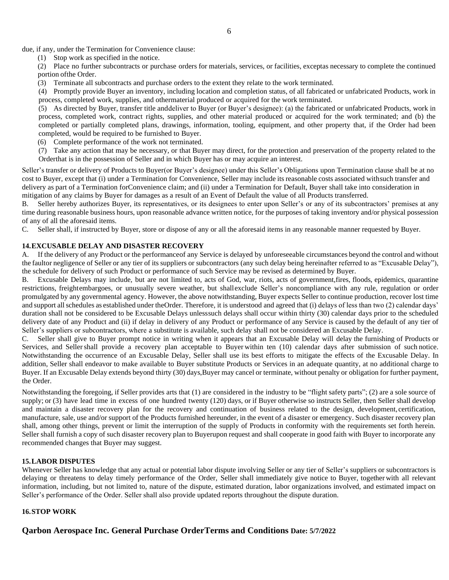due, if any, under the Termination for Convenience clause:

(1) Stop work as specified in the notice.

(2) Place no further subcontracts or purchase orders for materials, services, or facilities, exceptas necessary to complete the continued portion ofthe Order.

(3) Terminate all subcontracts and purchase orders to the extent they relate to the work terminated.

(4) Promptly provide Buyer an inventory, including location and completion status, of all fabricated or unfabricated Products, work in process, completed work, supplies, and othermaterial produced or acquired for the work terminated.

(5) As directed by Buyer, transfer title and deliver to Buyer (or Buyer's designee): (a) the fabricated or unfabricated Products, work in process, completed work, contract rights, supplies, and other material produced or acquired for the work terminated; and (b) the completed or partially completed plans, drawings, information, tooling, equipment, and other property that, if the Order had been completed, would be required to be furnished to Buyer.

- (6) Complete performance of the work not terminated.
- (7) Take any action that may be necessary, or that Buyer may direct, for the protection and preservation of the property related to the Orderthat is in the possession of Seller and in which Buyer has or may acquire an interest.

Seller's transfer or delivery of Products to Buyer(or Buyer's designee) under this Seller's Obligations upon Termination clause shall be at no cost to Buyer, except that (i) under a Termination for Convenience, Seller may include its reasonable costs associated with such transfer and delivery as part of a Termination forConvenience claim; and (ii) under a Termination for Default, Buyer shall take into consideration in mitigation of any claims by Buyer for damages as a result of an Event of Default the value of all Products transferred.

B. Seller hereby authorizes Buyer, its representatives, or its designees to enter upon Seller's or any of its subcontractors' premises at any time during reasonable business hours, upon reasonable advance written notice, for the purposes of taking inventory and/or physical possession of any of all the aforesaid items.

C. Seller shall, if instructed by Buyer, store or dispose of any or all the aforesaid items in any reasonable manner requested by Buyer.

### **14.EXCUSABLE DELAY AND DISASTER RECOVERY**

A. If the delivery of any Product or the performanceof any Service is delayed by unforeseeable circumstances beyond the control and without the faultor negligence of Seller or any tier of its suppliers or subcontractors (any such delay being hereinafter referred to as "Excusable Delay"), the schedule for delivery of such Product or performance of such Service may be revised as determined by Buyer.

B. Excusable Delays may include, but are not limited to, acts of God, war, riots, acts of government,fires, floods, epidemics, quarantine restrictions, freightembargoes, or unusually severe weather, but shallexclude Seller's noncompliance with any rule, regulation or order promulgated by any governmental agency. However, the above notwithstanding, Buyer expects Seller to continue production, recover lost time and support allschedules as established under theOrder. Therefore, it is understood and agreed that (i) delays of less than two (2) calendar days' duration shall not be considered to be Excusable Delays unlesssuch delays shall occur within thirty (30) calendar days prior to the scheduled delivery date of any Product and (ii) if delay in delivery of any Product or performance of any Service is caused by the default of any tier of Seller's suppliers or subcontractors, where a substitute is available, such delay shall not be considered an Excusable Delay.

C. Seller shall give to Buyer prompt notice in writing when it appears that an Excusable Delay will delay the furnishing of Products or Services, and Seller shall provide a recovery plan acceptable to Buyer within ten (10) calendar days after submission of such notice. Notwithstanding the occurrence of an Excusable Delay, Seller shall use its best efforts to mitigate the effects of the Excusable Delay. In addition, Seller shall endeavor to make available to Buyer substitute Products or Services in an adequate quantity, at no additional charge to Buyer. If an Excusable Delay extends beyond thirty (30) days,Buyer may cancel or terminate, without penalty or obligation for further payment, the Order.

Notwithstanding the foregoing, if Seller provides arts that (1) are considered in the industry to be "flight safety parts"; (2) are a sole source of supply; or (3) have lead time in excess of one hundred twenty (120) days, or if Buyer otherwise so instructs Seller, then Seller shall develop and maintain a disaster recovery plan for the recovery and continuation of business related to the design, development, certification, manufacture, sale, use and/or support of the Products furnished hereunder, in the event of a disaster or emergency. Such disaster recovery plan shall, among other things, prevent or limit the interruption of the supply of Products in conformity with the requirements set forth herein. Seller shall furnish a copy of such disaster recovery plan to Buyerupon request and shall cooperate in good faith with Buyer to incorporate any recommended changes that Buyer may suggest.

### **15.LABOR DISPUTES**

Whenever Seller has knowledge that any actual or potential labor dispute involving Seller or any tier of Seller's suppliers or subcontractors is delaying or threatens to delay timely performance of the Order, Seller shall immediately give notice to Buyer, together with all relevant information, including, but not limited to, nature of the dispute, estimated duration, labor organizations involved, and estimated impact on Seller's performance of the Order. Seller shall also provide updated reports throughout the dispute duration.

### **16.STOP WORK**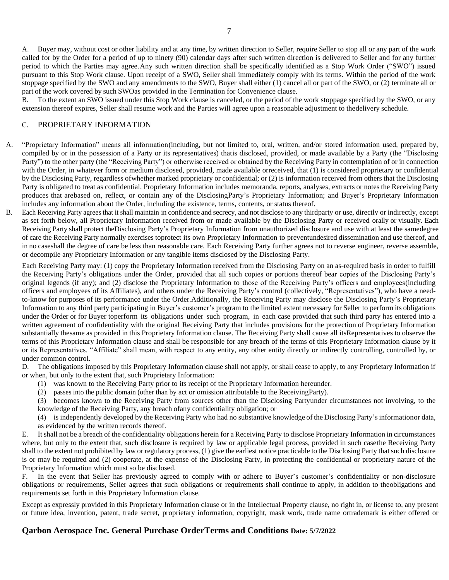A. Buyer may, without cost or other liability and at any time, by written direction to Seller, require Seller to stop all or any part of the work called for by the Order for a period of up to ninety (90) calendar days after such written direction is delivered to Seller and for any further period to which the Parties may agree.Any such written direction shall be specifically identified as a Stop Work Order ("SWO") issued pursuant to this Stop Work clause. Upon receipt of a SWO, Seller shall immediately comply with its terms. Within the period of the work stoppage specified by the SWO and any amendments to the SWO, Buyer shall either (1) cancel all or part of the SWO, or (2) terminate all or part of the work covered by such SWOas provided in the Termination for Convenience clause.

B. To the extent an SWO issued under this Stop Work clause is canceled, or the period of the work stoppage specified by the SWO, or any extension thereof expires, Seller shall resume work and the Parties will agree upon a reasonable adjustment to thedelivery schedule.

### C. PROPRIETARY INFORMATION

- A. "Proprietary Information" means all information(including, but not limited to, oral, written, and/or stored information used, prepared by, compiled by or in the possession of a Party or its representatives) thatis disclosed, provided, or made available by a Party (the "Disclosing Party") to the other party (the "Receiving Party") or otherwise received or obtained by the Receiving Party in contemplation of or in connection with the Order, in whatever form or medium disclosed, provided, made available orreceived, that (1) is considered proprietary or confidential by the Disclosing Party, regardless of whether marked proprietary or confidential; or (2) is information received from others that the Disclosing Party is obligated to treat as confidential. Proprietary Information includes memoranda, reports, analyses, extracts or notes the Receiving Party produces that arebased on, reflect, or contain any of the DisclosingParty's Proprietary Information; and Buyer's Proprietary Information includes any information about the Order, including the existence, terms, contents, or status thereof.
- B. Each Receiving Party agrees that it shall maintain in confidence and secrecy, and not disclose to any thirdparty or use, directly or indirectly, except as set forth below, all Proprietary Information received from or made available by the Disclosing Party or received orally or visually. Each Receiving Party shall protect theDisclosing Party's Proprietary Information from unauthorized disclosure and use with at least the samedegree of care the Receiving Party normally exercises toprotect its own Proprietary Information to preventundesired dissemination and use thereof, and in no caseshall the degree of care be less than reasonable care. Each Receiving Party further agrees not to reverse engineer, reverse assemble, or decompile any Proprietary Information or any tangible items disclosed by the Disclosing Party.

Each Receiving Party may: (1) copy the Proprietary Information received from the Disclosing Party on an as-required basis in order to fulfill the Receiving Party's obligations under the Order, provided that all such copies or portions thereof bear copies of the Disclosing Party's original legends (if any); and (2) disclose the Proprietary Information to those of the Receiving Party's officers and employees(including officers and employees of its Affiliates), and others under the Receiving Party's control (collectively, "Representatives"), who have a needto-know for purposes of its performance under the Order.Additionally, the Receiving Party may disclose the Disclosing Party's Proprietary Information to any third party participating in Buyer's customer's program to the limited extent necessary for Seller to perform its obligations under the Order or for Buyer toperform its obligations under such program, in each case provided that such third party has entered into a written agreement of confidentiality with the original Receiving Party that includes provisions for the protection of Proprietary Information substantially thesame as provided in this Proprietary Information clause. The Receiving Party shall cause all itsRepresentatives to observe the terms of this Proprietary Information clause and shall be responsible for any breach of the terms of this Proprietary Information clause by it or its Representatives. "Affiliate" shall mean, with respect to any entity, any other entity directly or indirectly controlling, controlled by, or under common control.

D. The obligations imposed by this Proprietary Information clause shall not apply, or shall cease to apply, to any Proprietary Information if or when, but only to the extent that, such Proprietary Information:

- (1) was known to the Receiving Party prior to its receipt of the Proprietary Information hereunder.
- (2) passes into the public domain (other than by act or omission attributable to the ReceivingParty).
- (3) becomes known to the Receiving Party from sources other than the Disclosing Partyunder circumstances not involving, to the knowledge of the Receiving Party, any breach ofany confidentiality obligation; or
- (4) is independently developed by the Receiving Party who had no substantive knowledge of the Disclosing Party'sinformationor data, as evidenced by the written records thereof.

E. It shall not be a breach of the confidentiality obligations herein for a Receiving Party to disclose Proprietary Information in circumstances where, but only to the extent that, such disclosure is required by law or applicable legal process, provided in such case the Receiving Party shall to the extent not prohibited by law or regulatory process, (1) give the earliest notice practicable to the Disclosing Party that such disclosure is or may be required and (2) cooperate, at the expense of the Disclosing Party, in protecting the confidential or proprietary nature of the Proprietary Information which must so be disclosed.

F. In the event that Seller has previously agreed to comply with or adhere to Buyer's customer's confidentiality or non-disclosure obligations or requirements, Seller agrees that such obligations or requirements shall continue to apply, in addition to theobligations and requirements set forth in this Proprietary Information clause.

Except as expressly provided in this Proprietary Information clause or in the Intellectual Property clause, no right in, or license to, any present or future idea, invention, patent, trade secret, proprietary information, copyright, mask work, trade name ortrademark is either offered or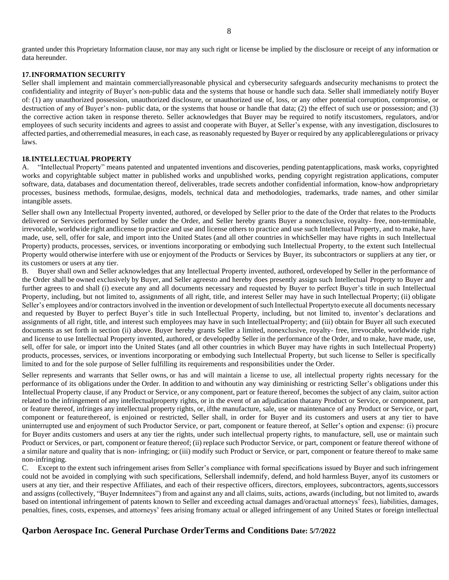granted under this Proprietary Information clause, nor may any such right or license be implied by the disclosure or receipt of any information or data hereunder.

#### **17.INFORMATION SECURITY**

Seller shall implement and maintain commerciallyreasonable physical and cybersecurity safeguards andsecurity mechanisms to protect the confidentiality and integrity of Buyer's non-public data and the systems that house or handle such data. Seller shall immediately notify Buyer of: (1) any unauthorized possession, unauthorized disclosure, or unauthorized use of, loss, or any other potential corruption, compromise, or destruction of any of Buyer's non- public data, or the systems that house or handle that data; (2) the effect of such use or possession; and (3) the corrective action taken in response thereto. Seller acknowledges that Buyer may be required to notify itscustomers, regulators, and/or employees of such security incidents and agrees to assist and cooperate with Buyer, at Seller's expense, with any investigation, disclosures to affected parties, and otherremedial measures, in each case, as reasonably requested by Buyer or required by any applicableregulations or privacy laws.

#### **18.INTELLECTUAL PROPERTY**

A. "Intellectual Property" means patented and unpatented inventions and discoveries, pending patent applications, mask works, copyrighted works and copyrightable subject matter in published works and unpublished works, pending copyright registration applications, computer software, data, databases and documentation thereof, deliverables, trade secrets andother confidential information, know-how andproprietary processes, business methods, formulae, designs, models, technical data and methodologies, trademarks, trade names, and other similar intangible assets.

Seller shall own any Intellectual Property invented, authored, or developed by Seller prior to the date of the Order that relates to the Products delivered or Services performed by Seller under the Order, and Seller hereby grants Buyer a nonexclusive, royalty- free, non-terminable, irrevocable, worldwide right andlicense to practice and use and license others to practice and use such Intellectual Property, and to make, have made, use, sell, offer for sale, and import into the United States (and all other countries in whichSeller may have rights in such Intellectual Property) products, processes, services, or inventions incorporating or embodying such Intellectual Property, to the extent such Intellectual Property would otherwise interfere with use or enjoyment of the Products or Services by Buyer, its subcontractors or suppliers at any tier, or its customers or users at any tier.

B. Buyer shall own and Seller acknowledges that any Intellectual Property invented, authored, ordeveloped by Seller in the performance of the Order shall be owned exclusively by Buyer, and Seller agreesto and hereby does presently assign such Intellectual Property to Buyer and further agrees to and shall (i) execute any and all documents necessary and requested by Buyer to perfect Buyer's title in such Intellectual Property, including, but not limited to, assignments of all right, title, and interest Seller may have in such Intellectual Property; (ii) obligate Seller's employees and/or contractors involved in the invention or development of such Intellectual Propertyto execute all documents necessary and requested by Buyer to perfect Buyer's title in such Intellectual Property, including, but not limited to, inventor's declarations and assignments of all right, title, and interest such employees may have in such Intellectual Property; and (iii) obtain for Buyer all such executed documents as set forth in section (ii) above. Buyer hereby grants Seller a limited, nonexclusive, royalty- free, irrevocable, worldwide right and license to use Intellectual Property invented, authored, or developedby Seller in the performance of the Order, and to make, have made, use, sell, offer for sale, or import into the United States (and all other countries in which Buyer may have rights in such Intellectual Property) products, processes, services, or inventions incorporating or embodying such Intellectual Property, but such license to Seller is specifically limited to and for the sole purpose of Seller fulfilling its requirements and responsibilities under the Order.

Seller represents and warrants that Seller owns, or has and will maintain a license to use, all intellectual property rights necessary for the performance of its obligations under the Order. In addition to and withoutin any way diminishing or restricting Seller's obligations under this Intellectual Property clause, if any Product or Service, or any component, part or feature thereof, becomes the subject of any claim, suitor action related to the infringement of any intellectualproperty rights, or in the event of an adjudication thatany Product or Service, or component, part or feature thereof, infringes any intellectual property rights, or, ifthe manufacture, sale, use or maintenance of any Product or Service, or part, component or featurethereof, is enjoined or restricted, Seller shall, in order for Buyer and its customers and users at any tier to have uninterrupted use and enjoyment of such Productor Service, or part, component or feature thereof, at Seller's option and expense: (i) procure for Buyer andits customers and users at any tier the rights, under such intellectual property rights, to manufacture, sell, use or maintain such Product or Services, or part, component or feature thereof; (ii) replace such Productor Service, or part, component or feature thereof withone of a similar nature and quality that is non- infringing; or (iii) modify such Product or Service, or part, component or feature thereof to make same non-infringing.

C. Except to the extent such infringement arises from Seller's compliance with formal specifications issued by Buyer and such infringement could not be avoided in complying with such specifications, Sellershall indemnify, defend, and hold harmless Buyer, anyof its customers or users at any tier, and their respective Affiliates, and each of their respective officers, directors, employees, subcontractors, agents,successors and assigns (collectively, "Buyer Indemnitees") from and against any and all claims, suits, actions, awards (including, but not limited to, awards based on intentional infringement of patents known to Seller and exceeding actual damages and/oractual attorneys' fees), liabilities, damages, penalties, fines, costs, expenses, and attorneys' fees arising fromany actual or alleged infringement of any United States or foreign intellectual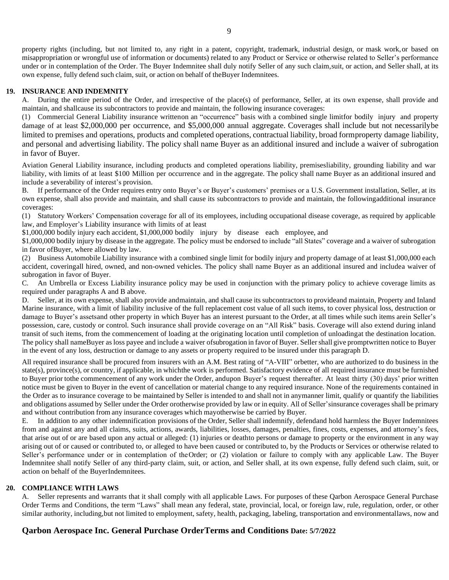9

property rights (including, but not limited to, any right in a patent, copyright, trademark, industrial design, or mask work,or based on misappropriation or wrongful use of information or documents) related to any Product or Service or otherwise related to Seller's performance under or in contemplation of the Order. The Buyer Indemnitee shall duly notify Seller of any such claim,suit, or action, and Seller shall, at its own expense, fully defend such claim, suit, or action on behalf of theBuyer Indemnitees.

#### **19. INSURANCE AND INDEMNITY**

A. During the entire period of the Order, and irrespective of the place(s) of performance, Seller, at its own expense, shall provide and maintain, and shallcause its subcontractors to provide and maintain, the following insurance coverages:

(1) Commercial General Liability insurance writtenon an "occurrence" basis with a combined single limitfor bodily injury and property damage of at least \$2,000,000 per occurrence, and \$5,000,000 annual aggregate. Coverages shall include but not necessarilybe limited to premises and operations, products and completed operations, contractual liability, broad formproperty damage liability, and personal and advertising liability. The policy shall name Buyer as an additional insured and include a waiver of subrogation in favor of Buyer.

Aviation General Liability insurance, including products and completed operations liability, premisesliability, grounding liability and war liability, with limits of at least \$100 Million per occurrence and in the aggregate. The policy shall name Buyer as an additional insured and include a severability of interest's provision.

B. If performance of the Order requires entry onto Buyer's or Buyer's customers' premises or a U.S. Government installation, Seller, at its own expense, shall also provide and maintain, and shall cause its subcontractors to provide and maintain, the followingadditional insurance coverages:

(1) Statutory Workers' Compensation coverage for all of its employees, including occupational disease coverage, as required by applicable law, and Employer's Liability insurance with limits of at least

\$1,000,000 bodily injury each accident, \$1,000,000 bodily injury by disease each employee, and

\$1,000,000 bodily injury by disease in the aggregate. The policy must be endorsed to include "all States" coverage and a waiver of subrogation in favor ofBuyer, where allowed by law.

(2) Business Automobile Liability insurance with a combined single limit for bodily injury and property damage of at least \$1,000,000 each accident, coveringall hired, owned, and non-owned vehicles. The policy shall name Buyer as an additional insured and includea waiver of subrogation in favor of Buyer.

C. An Umbrella or Excess Liability insurance policy may be used in conjunction with the primary policy to achieve coverage limits as required under paragraphs A and B above.

D. Seller, at its own expense, shall also provide andmaintain, and shall cause its subcontractors to provideand maintain, Property and Inland Marine insurance, with a limit of liability inclusive of the full replacement cost value of all such items, to cover physical loss, destruction or damage to Buyer's assetsand other property in which Buyer has an interest pursuant to the Order, at all times while such items arein Seller's possession, care, custody or control. Such insurance shall provide coverage on an "All Risk" basis. Coverage will also extend during inland transit of such items, from the commencement of loading at the originating location until completion of unloadingat the destination location. The policy shall nameBuyer as loss payee and include a waiver of subrogation in favor of Buyer. Seller shall give promptwritten notice to Buyer in the event of any loss, destruction or damage to any assets or property required to be insured under this paragraph D.

All required insurance shall be procured from insurers with an A.M. Best rating of "A-VIII" orbetter, who are authorized to do business in the state(s), province(s), or country, if applicable, in whichthe work is performed. Satisfactory evidence of all required insurance must be furnished to Buyer prior tothe commencement of any work under the Order, andupon Buyer's request thereafter. At least thirty (30) days' prior written notice must be given to Buyer in the event of cancellation or material change to any required insurance. None of the requirements contained in the Order as to insurance coverage to be maintained by Seller is intended to and shall not in anymanner limit, qualify or quantify the liabilities and obligations assumed by Seller under the Order orotherwise provided by law or in equity. All of Seller'sinsurance coverages shall be primary and without contribution from any insurance coverages which mayotherwise be carried by Buyer.

E. In addition to any other indemnification provisions of the Order, Seller shall indemnify, defendand hold harmless the Buyer Indemnitees from and against any and all claims, suits, actions, awards, liabilities, losses, damages, penalties, fines, costs, expenses, and attorney's fees, that arise out of or are based upon any actual or alleged: (1) injuries or deathto persons or damage to property or the environment in any way arising out of or caused or contributed to, or alleged to have been caused or contributed to, by the Products or Services or otherwise related to Seller's performance under or in contemplation of theOrder; or (2) violation or failure to comply with any applicable Law. The Buyer Indemnitee shall notify Seller of any third-party claim, suit, or action, and Seller shall, at its own expense, fully defend such claim, suit, or action on behalf of the BuyerIndemnitees.

### **20. COMPLIANCE WITH LAWS**

A. Seller represents and warrants that it shall comply with all applicable Laws. For purposes of these Qarbon Aerospace General Purchase Order Terms and Conditions, the term "Laws" shall mean any federal, state, provincial, local, or foreign law, rule, regulation, order, or other similar authority, including,but not limited to employment, safety, health, packaging, labeling, transportation and environmentallaws, now and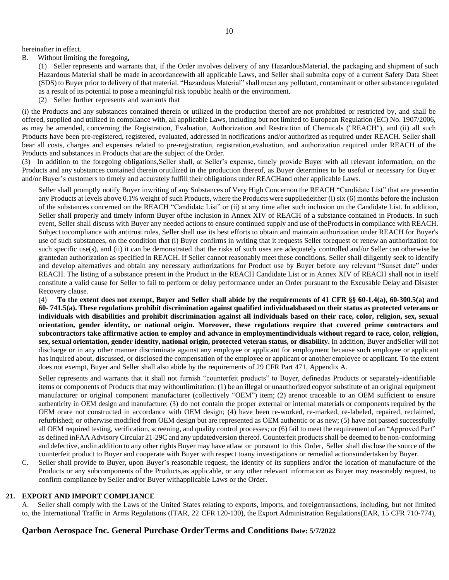hereinafter in effect.

B. Without limiting the foregoing**,**

(1) Seller represents and warrants that, if the Order involves delivery of any HazardousMaterial, the packaging and shipment of such Hazardous Material shall be made in accordancewith all applicable Laws, and Seller shall submita copy of a current Safety Data Sheet (SDS) to Buyer prior to delivery of that material. "Hazardous Material" shall mean any pollutant, contaminant or other substance regulated as a result of its potential to pose a meaningful risk topublic health or the environment.

(2) Seller further represents and warrants that

(i) the Products and any substances contained therein or utilized in the production thereof are not prohibited or restricted by, and shall be offered, supplied and utilized in compliance with, all applicable Laws, including but not limited to European Regulation (EC) No. 1907/2006, as may be amended, concerning the Registration, Evaluation, Authorization and Restriction of Chemicals ("REACH"), and (ii) all such Products have been pre-registered, registered, evaluated, addressed in notifications and/or authorized as required under REACH. Seller shall bear all costs, charges and expenses related to pre-registration, registration,evaluation, and authorization required under REACH of the Products and substances in Products that are the subject of the Order.

(3) In addition to the foregoing obligations,Seller shall, at Seller's expense, timely provide Buyer with all relevant information, on the Products and any substances contained therein orutilized in the production thereof, as Buyer determines to be useful or necessary for Buyer and/or Buyer's customers to timely and accurately fulfill their obligations under REACHand other applicable Laws.

Seller shall promptly notify Buyer inwriting of any Substances of Very High Concernon the REACH "Candidate List" that are presentin any Products at levels above 0.1% weight of such Products, where the Products were suppliedeither (i) six (6) months before the inclusion of the substances concerned on the REACH "Candidate List" or (ii) at any time after such inclusion on the Candidate List. In addition, Seller shall properly and timely inform Buyer ofthe inclusion in Annex XIV of REACH of a substance contained in Products. In such event, Seller shall discuss with Buyer any needed actionsto ensure continued supply and use of theProducts in compliance with REACH. Subject tocompliance with antitrust rules, Seller shall use its best efforts to obtain and maintain authorization under REACH for Buyer's use of such substances, on the condition that (i) Buyer confirms in writing that it requests Seller torequest or renew an authorization for such specific use(s), and (ii) it can be demonstrated that the risks of such uses are adequately controlled and/or Seller can otherwise be grantedan authorization as specified in REACH. If Seller cannot reasonably meet these conditions, Seller shall diligently seek to identify and develop alternatives and obtain any necessary authorizations for Product use by Buyer before any relevant "Sunset date" under REACH. The listing of a substance present in the Product in the REACH Candidate List or in Annex XIV of REACH shall not in itself constitute a valid cause for Seller to fail to perform or delay performance under an Order pursuant to the Excusable Delay and Disaster Recovery clause.

(4) **To the extent does not exempt, Buyer and Seller shall abide by the requirements of 41 CFR §§ 60-1.4(a), 60-300.5(a) and 60- 741.5(a). These regulations prohibit discrimination against qualified individualsbased on their status as protected veterans or individuals with disabilities and prohibit discrimination against all individuals based on their race, color, religion, sex, sexual orientation, gender identity, or national origin. Moreover, these regulations require that covered prime contractors and** subcontractors take affirmative action to employ and advance in employmentindividuals without regard to race, color, religion, **sex, sexual orientation, gender identity, national origin, protected veteran status, or disability.** In addition, Buyer andSeller will not discharge or in any other manner discriminate against any employee or applicant for employment because such employee or applicant has inquired about, discussed, or disclosed the compensation of the employee or applicant or another employee or applicant. To the extent does not exempt, Buyer and Seller shall also abide by the requirements of 29 CFR Part 471, Appendix A.

Seller represents and warrants that it shall not furnish "counterfeit products" to Buyer, definedas Products or separately-identifiable items or components of Products that may withoutlimitation: (1) be an illegal or unauthorized copyor substitute of an original equipment manufacturer or original component manufacturer (collectively "OEM") item; (2) arenot traceable to an OEM sufficient to ensure authenticity in OEM design and manufacture; (3) do not contain the proper external or internal materials or components required by the OEM orare not constructed in accordance with OEM design; (4) have been re-worked, re-marked, re-labeled, repaired, reclaimed, refurbished; or otherwise modified from OEM design but are represented as OEM authentic or as new; (5) have not passed successfully all OEM required testing, verification, screening, and quality control processes; or (6) fail to meet the requirement of an "Approved Part" as defined inFAA Advisory Circular 21-29C and any updatedversion thereof. Counterfeit products shall be deemed to be non-conforming and defective, andin addition to any other rights Buyer may have atlaw or pursuant to this Order, Seller shall disclose the source of the counterfeit product to Buyer and cooperate with Buyer with respect toany investigations or remedial actionsundertaken by Buyer.

C. Seller shall provide to Buyer, upon Buyer's reasonable request, the identity of its suppliers and/or the location of manufacture of the Products or any subcomponents of the Products,as applicable, or any other relevant information as Buyer may reasonably request, to confirm compliance by Seller and/or Buyer withapplicable Laws or the Order.

#### **21. EXPORT AND IMPORT COMPLIANCE**

A. Seller shall comply with the Laws of the United States relating to exports, imports, and foreigntransactions, including, but not limited to, the International Traffic in Arms Regulations (ITAR, 22 CFR 120-130), the Export Administration Regulations(EAR, 15 CFR 710-774),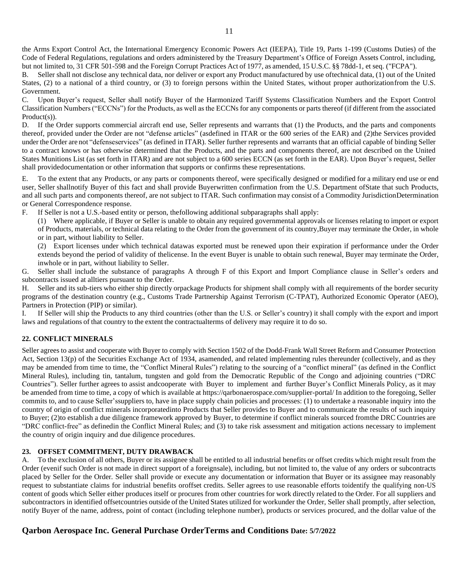the Arms Export Control Act, the International Emergency Economic Powers Act (IEEPA), Title 19, Parts 1-199 (Customs Duties) of the Code of Federal Regulations, regulations and orders administered by the Treasury Department's Office of Foreign Assets Control, including, but not limited to, 31 CFR 501-598 and the Foreign Corrupt Practices Act of 1977, as amended, 15 U.S.C. §§ 78dd-1, et seq. ("FCPA").

B. Seller shall not disclose any technical data, nor deliver or export any Product manufactured by use oftechnical data, (1) out of the United States, (2) to a national of a third country, or (3) to foreign persons within the United States, without proper authorizationfrom the U.S. Government.

C. Upon Buyer's request, Seller shall notify Buyer of the Harmonized Tariff Systems Classification Numbers and the Export Control Classification Numbers ("ECCNs") for the Products, as well as the ECCNs for any components or parts thereof (if different from the associated Product(s)).

D. If the Order supports commercial aircraft end use, Seller represents and warrants that (1) the Products, and the parts and components thereof, provided under the Order are not "defense articles" (asdefined in ITAR or the 600 series of the EAR) and (2)the Services provided under the Order are not "defenseservices" (as defined in ITAR). Seller further represents and warrants that an official capable of binding Seller to a contract knows or has otherwise determined that the Products, and the parts and components thereof, are not described on the United States Munitions List (as set forth in ITAR) and are not subject to a 600 series ECCN (as set forth in the EAR). Upon Buyer's request, Seller shall providedocumentation or other information that supports or confirms these representations.

E. To the extent that any Products, or any parts or components thereof, were specifically designed or modified for a military end use or end user, Seller shallnotify Buyer of this fact and shall provide Buyerwritten confirmation from the U.S. Department ofState that such Products, and all such parts and components thereof, are not subject to ITAR. Such confirmation may consist of a Commodity JurisdictionDetermination or General Correspondence response.

F. If Seller is not a U.S.-based entity or person, thefollowing additional subparagraphs shall apply:

(1) Where applicable, if Buyer or Seller is unable to obtain any required governmental approvals or licenses relating to import or export of Products, materials, or technical data relating to the Order from the government of its country,Buyer may terminate the Order, in whole or in part, without liability to Seller.

(2) Export licenses under which technical datawas exported must be renewed upon their expiration if performance under the Order extends beyond the period of validity of thelicense. In the event Buyer is unable to obtain such renewal, Buyer may terminate the Order, inwhole or in part, without liability to Seller.

G. Seller shall include the substance of paragraphs A through F of this Export and Import Compliance clause in Seller's orders and subcontracts issued at alltiers pursuant to the Order.

H. Seller and its sub-tiers who either ship directly orpackage Products for shipment shall comply with all requirements of the border security programs of the destination country (e.g., Customs Trade Partnership Against Terrorism (C-TPAT), Authorized Economic Operator (AEO), Partners in Protection (PIP) or similar).

I. If Seller will ship the Products to any third countries (other than the U.S. or Seller's country) it shall comply with the export and import laws and regulations of that country to the extent the contractualterms of delivery may require it to do so.

### **22. CONFLICT MINERALS**

Seller agrees to assist and cooperate with Buyer to comply with Section 1502 of the Dodd-Frank Wall Street Reform and Consumer Protection Act, Section 13(p) of the Securities Exchange Act of 1934, asamended, and related implementing rules thereunder (collectively, and as they may be amended from time to time, the "Conflict Mineral Rules") relating to the sourcing of a "conflict mineral" (as defined in the Conflict Mineral Rules), including tin, tantalum, tungsten and gold from the Democratic Republic of the Congo and adjoining countries ("DRC Countries"). Seller further agrees to assist andcooperate with Buyer to implement and further Buyer's Conflict Minerals Policy, as it may be amended from time to time, a copy of which is available at https://qarbonaerospace.com/supplier-portal/ In addition to the foregoing, Seller commits to, and to cause Seller'ssuppliers to, have in place supply chain policies and processes: (1) to undertake a reasonable inquiry into the country of origin of conflict minerals incorporatedinto Products that Seller provides to Buyer and to communicate the results of such inquiry to Buyer; (2)to establish a due diligence framework approved by Buyer, to determine if conflict minerals sourced fromthe DRC Countries are "DRC conflict-free" as definedin the Conflict Mineral Rules; and (3) to take risk assessment and mitigation actions necessary to implement the country of origin inquiry and due diligence procedures.

### **23. OFFSET COMMITMENT, DUTY DRAWBACK**

A. To the exclusion of all others, Buyer or its assignee shall be entitled to all industrial benefits or offset credits which might result from the Order (evenif such Order is not made in direct support of a foreignsale), including, but not limited to, the value of any orders or subcontracts placed by Seller for the Order. Seller shall provide or execute any documentation or information that Buyer or its assignee may reasonably request to substantiate claims for industrial benefits oroffset credits. Seller agrees to use reasonable efforts toidentify the qualifying non-US content of goods which Seller either produces itself or procures from other countries for work directly related to the Order. For all suppliers and subcontractors in identified offsetcountries outside of the United States utilized for workunder the Order, Seller shall promptly, after selection, notify Buyer of the name, address, point of contact (including telephone number), products or services procured, and the dollar value of the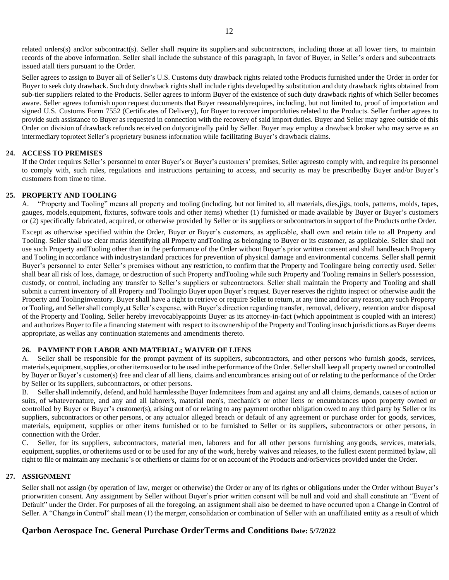related orders(s) and/or subcontract(s). Seller shall require its suppliers and subcontractors, including those at all lower tiers, to maintain records of the above information. Seller shall include the substance of this paragraph, in favor of Buyer, in Seller's orders and subcontracts issued atall tiers pursuant to the Order.

Seller agrees to assign to Buyer all of Seller's U.S. Customs duty drawback rights related tothe Products furnished under the Order in order for Buyer to seek duty drawback. Such duty drawback rights shall include rights developed by substitution and duty drawback rights obtained from sub-tier suppliers related to the Products. Seller agrees to inform Buyer of the existence of such duty drawback rights of which Seller becomes aware. Seller agrees tofurnish upon request documents that Buyer reasonablyrequires, including, but not limited to, proof of importation and signed U.S. Customs Form 7552 (Certificates of Delivery), for Buyer to recover importduties related to the Products. Seller further agrees to provide such assistance to Buyer as requested in connection with the recovery of said import duties. Buyer and Seller may agree outside of this Order on division of drawback refunds received on dutyoriginally paid by Seller. Buyer may employ a drawback broker who may serve as an intermediary toprotect Seller's proprietary business information while facilitating Buyer's drawback claims.

### **24. ACCESS TO PREMISES**

If the Order requires Seller's personnel to enter Buyer's or Buyer's customers' premises, Seller agreesto comply with, and require its personnel to comply with, such rules, regulations and instructions pertaining to access, and security as may be prescribedby Buyer and/or Buyer's customers from time to time.

#### **25. PROPERTY AND TOOLING**

A. "Property and Tooling" means all property and tooling (including, but not limited to, all materials, dies,jigs, tools, patterns, molds, tapes, gauges, models,equipment, fixtures, software tools and other items) whether (1) furnished or made available by Buyer or Buyer's customers or (2) specifically fabricated, acquired, or otherwise provided by Seller or its suppliers or subcontractorsin support of the Products orthe Order.

Except as otherwise specified within the Order, Buyer or Buyer's customers, as applicable, shall own and retain title to all Property and Tooling. Seller shall use clear marks identifying all Property andTooling as belonging to Buyer or its customer, as applicable. Seller shall not use such Property andTooling other than in the performance of the Order without Buyer's prior written consent and shall handlesuch Property and Tooling in accordance with industrystandard practices for prevention of physical damage and environmental concerns. Seller shall permit Buyer's personnel to enter Seller's premises without any restriction, to confirm that the Property and Toolingare being correctly used. Seller shall bear all risk of loss, damage, or destruction of such Property andTooling while such Property and Tooling remains in Seller's possession, custody, or control, including any transfer to Seller's suppliers or subcontractors. Seller shall maintain the Property and Tooling and shall submit a current inventory of all Property and Toolingto Buyer upon Buyer's request. Buyer reserves the rightto inspect or otherwise audit the Property and Toolinginventory. Buyer shall have a right to retrieve or require Seller to return, at any time and for any reason,any such Property or Tooling, and Seller shall comply,at Seller's expense, with Buyer's direction regarding transfer, removal, delivery, retention and/or disposal of the Property and Tooling. Seller hereby irrevocablyappoints Buyer as its attorney-in-fact (which appointment is coupled with an interest) and authorizes Buyer to file a financing statement with respect to its ownership of the Property and Tooling insuch jurisdictions as Buyer deems appropriate, as wellas any continuation statements and amendments thereto.

#### **26. PAYMENT FOR LABOR AND MATERIAL; WAIVER OF LIENS**

A. Seller shall be responsible for the prompt payment of its suppliers, subcontractors, and other persons who furnish goods, services, materials, equipment, supplies, or other items used or to be used inthe performance of the Order. Seller shall keep all property owned or controlled by Buyer or Buyer's customer(s) free and clear of all liens, claims and encumbrances arising out of or relating to the performance of the Order by Seller or its suppliers, subcontractors, or other persons.

B. Sellershall indemnify, defend, and hold harmlessthe Buyer Indemnitees from and against any and all claims, demands, causes of action or suits, of whatevernature, and any and all laborer's, material men's, mechanic's or other liens or encumbrances upon property owned or controlled by Buyer or Buyer's customer(s), arising out of or relating to any payment orother obligation owed to any third party by Seller or its suppliers, subcontractors or other persons, or any actualor alleged breach or default of any agreement or purchase order for goods, services, materials, equipment, supplies or other items furnished or to be furnished to Seller or its suppliers, subcontractors or other persons, in connection with the Order.

C. Seller, for its suppliers, subcontractors, material men, laborers and for all other persons furnishing any goods, services, materials, equipment, supplies, or otheritems used or to be used for any of the work, hereby waives and releases, to the fullest extent permitted bylaw, all right to file or maintain any mechanic's or otherliens or claims for or on account of the Products and/orServices provided under the Order.

#### **27. ASSIGNMENT**

Seller shall not assign (by operation of law, merger or otherwise) the Order or any of its rights or obligations under the Order without Buyer's priorwritten consent. Any assignment by Seller without Buyer's prior written consent will be null and void and shall constitute an "Event of Default" under the Order. For purposes of all the foregoing, an assignment shall also be deemed to have occurred upon a Change in Control of Seller. A "Change in Control" shall mean (1) the merger, consolidation or combination of Seller with an unaffiliated entity as a result of which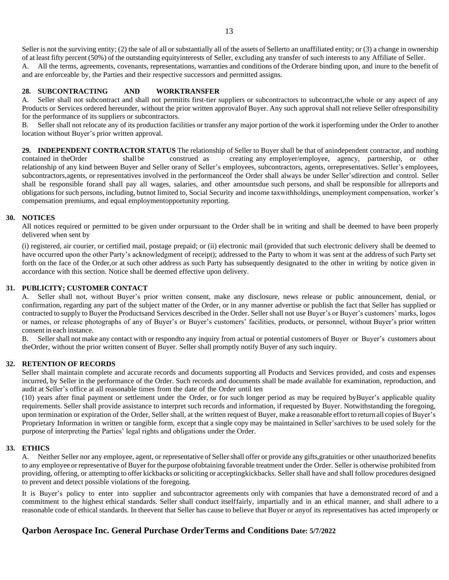Seller is not the surviving entity; (2) the sale of all or substantially all of the assets of Sellerto an unaffiliated entity; or (3) a change in ownership of at least fifty percent (50%) of the outstanding equityinterests of Seller, excluding any transfer of such interests to any Affiliate of Seller.

A. All the terms, agreements, covenants, representations, warranties and conditions of the Orderare binding upon, and inure to the benefit of and are enforceable by, the Parties and their respective successors and permitted assigns.

### **28. SUBCONTRACTING AND WORKTRANSFER**

A. Seller shall not subcontract and shall not permitits first-tier suppliers or subcontractors to subcontract,the whole or any aspect of any Products or Services ordered hereunder, without the prior written approvalof Buyer. Any such approval shall not relieve Seller ofresponsibility for the performance of its suppliers or subcontractors.

B. Seller shall not relocate any of its production facilities or transfer any major portion of the work it isperforming under the Order to another location without Buyer's prior written approval.

**29. INDEPENDENT CONTRACTOR STATUS** The relationship of Seller to Buyer shall be that of anindependent contractor, and nothing contained in theOrder shallbe construed as creating any employer/employee, agency, partnership, or other relationship of any kind between Buyer and Seller orany of Seller's employees, subcontractors, agents, orrepresentatives. Seller's employees, subcontractors,agents, or representatives involved in the performanceof the Order shall always be under Seller'sdirection and control. Seller shall be responsible forand shall pay all wages, salaries, and other amountsdue such persons, and shall be responsible for allreports and obligationsfor such persons, including, butnot limited to, Social Security and income taxwithholdings, unemployment compensation, worker's compensation premiums, and equal employmentopportunity reporting.

#### **30. NOTICES**

All notices required or permitted to be given under orpursuant to the Order shall be in writing and shall be deemed to have been properly delivered when sent by

(i) registered, air courier, or certified mail, postage prepaid; or (ii) electronic mail (provided that such electronic delivery shall be deemed to have occurred upon the other Party's acknowledgment of receipt); addressed to the Party to whom it was sent at the address of such Party set forth on the face of the Order,or at such other address as such Party has subsequently designated to the other in writing by notice given in accordance with this section. Notice shall be deemed effective upon delivery.

### **31. PUBLICITY; CUSTOMER CONTACT**

A. Seller shall not, without Buyer's prior written consent, make any disclosure, news release or public announcement, denial, or confirmation, regarding any part of the subject matter of the Order, or in any manner advertise or publish the fact that Seller has supplied or contracted to supply to Buyer the Productsand Services described in the Order. Seller shall not use Buyer's or Buyer's customers' marks, logos or names, or release photographs of any of Buyer's or Buyer's customers' facilities, products, or personnel, without Buyer's prior written consent in each instance.

B. Seller shall not make any contact with or respondto any inquiry from actual or potential customers of Buyer or Buyer's customers about theOrder, without the prior written consent of Buyer. Seller shall promptly notify Buyer of any such inquiry.

#### **32. RETENTION OF RECORDS**

Seller shall maintain complete and accurate records and documents supporting all Products and Services provided, and costs and expenses incurred, by Seller in the performance of the Order. Such records and documents shall be made available for examination, reproduction, and audit at Seller's office at all reasonable times from the date of the Order until ten

(10) years after final payment or settlement under the Order, or for such longer period as may be required byBuyer's applicable quality requirements. Seller shall provide assistance to interpret such records and information, if requested by Buyer. Notwithstanding the foregoing, upon termination or expiration of the Order, Seller shall, at the written request of Buyer, make a reasonable effort to return all copies of Buyer's Proprietary Information in written or tangible form, except that a single copy may be maintained in Seller's archives to be used solely for the purpose of interpreting the Parties' legal rights and obligations under the Order.

#### **33. ETHICS**

A. Neither Seller nor any employee, agent, or representative of Seller shall offer or provide any gifts, gratuities or other unauthorized benefits to any employee or representative of Buyer for the purpose ofobtaining favorable treatment under the Order. Seller is otherwise prohibited from providing, offering, or attempting to offer kickbacks orsoliciting or acceptingkickbacks. Seller shall have and shall follow procedures designed to prevent and detect possible violations of the foregoing.

It is Buyer's policy to enter into supplier and subcontractor agreements only with companies that have a demonstrated record of and a commitment to the highest ethical standards. Seller shall conduct itselffairly, impartially and in an ethical manner, and shall adhere to a reasonable code of ethical standards. In theevent that Seller has cause to believe that Buyer or anyof its representatives has acted improperly or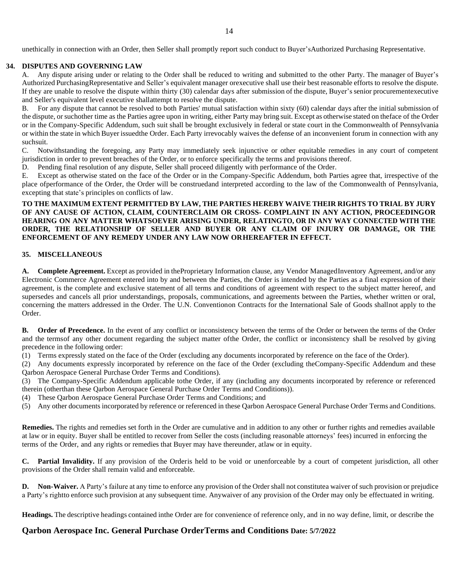unethically in connection with an Order, then Seller shall promptly report such conduct to Buyer'sAuthorized Purchasing Representative.

### **34. DISPUTES AND GOVERNING LAW**

A. Any dispute arising under or relating to the Order shall be reduced to writing and submitted to the other Party. The manager of Buyer's Authorized PurchasingRepresentative and Seller's equivalent manager orexecutive shall use their best reasonable efforts to resolve the dispute. If they are unable to resolve the dispute within thirty (30) calendar days after submission of the dispute, Buyer's senior procurementexecutive and Seller's equivalent level executive shallattempt to resolve the dispute.

B. For any dispute that cannot be resolved to both Parties' mutual satisfaction within sixty (60) calendar days after the initial submission of the dispute, or suchother time as the Parties agree upon in writing, either Party may bring suit. Except as otherwise stated on theface of the Order or in the Company-Specific Addendum, such suit shall be brought exclusively in federal or state court in the Commonwealth of Pennsylvania or within the state in which Buyer issuedthe Order. Each Party irrevocably waives the defense of an inconvenient forum in connection with any suchsuit.

C. Notwithstanding the foregoing, any Party may immediately seek injunctive or other equitable remedies in any court of competent jurisdiction in order to prevent breaches of the Order, or to enforce specifically the terms and provisions thereof.

D. Pending final resolution of any dispute, Seller shall proceed diligently with performance of the Order.

E. Except as otherwise stated on the face of the Order or in the Company-Specific Addendum, both Parties agree that, irrespective of the place ofperformance of the Order, the Order will be construedand interpreted according to the law of the Commonwealth of Pennsylvania, excepting that state's principles on conflicts of law.

### **TO THE MAXIMUM EXTENT PERMITTED BY LAW, THE PARTIES HEREBY WAIVE THEIR RIGHTS TO TRIAL BY JURY OF ANY CAUSE OF ACTION, CLAIM, COUNTERCLAIM OR CROSS- COMPLAINT IN ANY ACTION, PROCEEDINGOR HEARING ON ANY MATTER WHATSOEVER ARISING UNDER, RELATINGTO, OR IN ANY WAY CONNECTED WITH THE ORDER, THE RELATIONSHIP OF SELLER AND BUYER OR ANY CLAIM OF INJURY OR DAMAGE, OR THE ENFORCEMENT OF ANY REMEDY UNDER ANY LAW NOW OR HEREAFTER IN EFFECT.**

### **35. MISCELLANEOUS**

**A. Complete Agreement.** Except as provided in theProprietary Information clause, any Vendor ManagedInventory Agreement, and/or any Electronic Commerce Agreement entered into by and between the Parties, the Order is intended by the Parties as a final expression of their agreement, is the complete and exclusive statement of all terms and conditions of agreement with respect to the subject matter hereof, and supersedes and cancels all prior understandings, proposals, communications, and agreements between the Parties, whether written or oral, concerning the matters addressed in the Order. The U.N. Conventionon Contracts for the International Sale of Goods shallnot apply to the Order.

**B. Order of Precedence.** In the event of any conflict or inconsistency between the terms of the Order or between the terms of the Order and the termsof any other document regarding the subject matter ofthe Order, the conflict or inconsistency shall be resolved by giving precedence in the following order:

(1) Terms expressly stated on the face of the Order (excluding any documents incorporated by reference on the face of the Order).

(2) Any documents expressly incorporated by reference on the face of the Order (excluding theCompany-Specific Addendum and these Qarbon Aerospace General Purchase Order Terms and Conditions).

(3) The Company-Specific Addendum applicable tothe Order, if any (including any documents incorporated by reference or referenced therein (otherthan these Qarbon Aerospace General Purchase Order Terms and Conditions)).

(4) These Qarbon Aerospace General Purchase Order Terms and Conditions; and

(5) Any other documents incorporated by reference or referenced in these Qarbon Aerospace General Purchase Order Terms and Conditions.

**Remedies.** The rights and remedies set forth in the Order are cumulative and in addition to any other or further rights and remedies available at law or in equity. Buyer shall be entitled to recover from Seller the costs (including reasonable attorneys' fees) incurred in enforcing the terms of the Order, and any rights or remedies that Buyer may have thereunder, atlaw or in equity.

**C. Partial Invalidity.** If any provision of the Orderis held to be void or unenforceable by a court of competent jurisdiction, all other provisions of the Order shall remain valid and enforceable.

**D. Non-Waiver.** A Party's failure at any time to enforce any provision of the Order shall not constitutea waiver of such provision or prejudice a Party's rightto enforce such provision at any subsequent time. Anywaiver of any provision of the Order may only be effectuated in writing.

**Headings.** The descriptive headings contained inthe Order are for convenience of reference only, and in no way define, limit, or describe the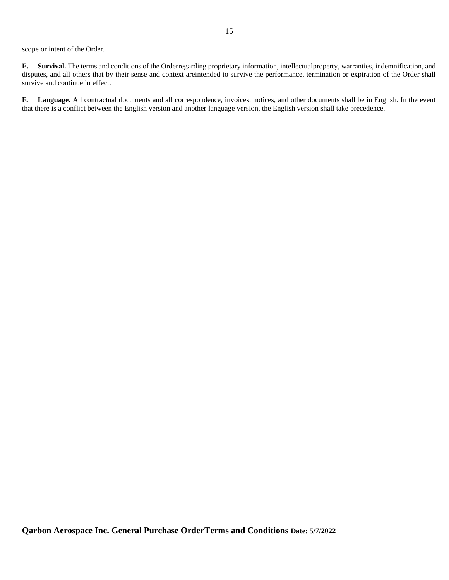scope or intent of the Order.

**E. Survival.** The terms and conditions of the Orderregarding proprietary information, intellectualproperty, warranties, indemnification, and disputes, and all others that by their sense and context areintended to survive the performance, termination or expiration of the Order shall survive and continue in effect.

**F. Language.** All contractual documents and all correspondence, invoices, notices, and other documents shall be in English. In the event that there is a conflict between the English version and another language version, the English version shall take precedence.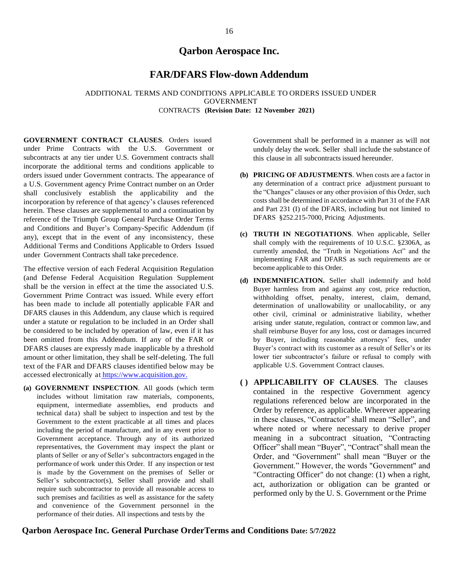# **Qarbon Aerospace Inc.**

# **FAR/DFARS Flow-down Addendum**

### ADDITIONAL TERMS AND CONDITIONS APPLICABLE TO ORDERS ISSUED UNDER GOVERNMENT CONTRACTS **(Revision Date: 12 November 2021)**

**GOVERNMENT CONTRACT CLAUSES**. Orders issued under Prime Contracts with the U.S. Government or subcontracts at any tier under U.S. Government contracts shall incorporate the additional terms and conditions applicable to orders issued under Government contracts. The appearance of a U.S. Government agency Prime Contract number on an Order shall conclusively establish the applicability and the incorporation by reference of that agency's clauses referenced herein. These clauses are supplemental to and a continuation by reference of the Triumph Group General Purchase Order Terms and Conditions and Buyer's Company-Specific Addendum (if any), except that in the event of any inconsistency, these Additional Terms and Conditions Applicable to Orders Issued under Government Contracts shall take precedence.

The effective version of each Federal Acquisition Regulation (and Defense Federal Acquisition Regulation Supplement shall be the version in effect at the time the associated U.S. Government Prime Contract was issued. While every effort has been made to include all potentially applicable FAR and DFARS clauses in this Addendum, any clause which is required under a statute or regulation to be included in an Order shall be considered to be included by operation of law, even if it has been omitted from this Addendum. If any of the FAR or DFARS clauses are expressly made inapplicable by a threshold amount or other limitation, they shall be self-deleting. The full text of the FAR and DFARS clauses identified below may be accessed electronically at [https://www.acquisition.gov.](https://www.acquisition.gov/)

**(a) GOVERNMENT INSPECTION**. All goods (which term includes without limitation raw materials, components, equipment, intermediate assemblies, end products and technical data) shall be subject to inspection and test by the Government to the extent practicable at all times and places including the period of manufacture, and in any event prior to Government acceptance. Through any of its authorized representatives, the Government may inspect the plant or plants of Seller or any of Seller's subcontractors engaged in the performance of work under this Order. If any inspection or test is made by the Government on the premises of Seller or Seller's subcontractor(s), Seller shall provide and shall require such subcontractor to provide all reasonable access to such premises and facilities as well as assistance for the safety and convenience of the Government personnel in the performance of their duties. All inspections and tests by the

Government shall be performed in a manner as will not unduly delay the work. Seller shall include the substance of this clause in all subcontracts issued hereunder.

- **(b) PRICING OF ADJUSTMENTS**. When costs are a factor in any determination of a contract price adjustment pursuant to the "Changes" clauses or any other provision of this Order, such costs shall be determined in accordance with Part 31 of the FAR and Part 231 (I) of the DFARS, including but not limited to DFARS §252.215-7000, Pricing Adjustments.
- **(c) TRUTH IN NEGOTIATIONS**. When applicable, Seller shall comply with the requirements of 10 U.S.C. §2306A, as currently amended, the "Truth in Negotiations Act" and the implementing FAR and DFARS as such requirements are or become applicable to this Order.
- **(d) INDEMNIFICATION.** Seller shall indemnify and hold Buyer harmless from and against any cost, price reduction, withholding offset, penalty, interest, claim, demand, determination of unallowability or unallocability, or any other civil, criminal or administrative liability, whether arising under statute, regulation, contract or common law, and shall reimburse Buyer for any loss, cost or damages incurred by Buyer, including reasonable attorneys' fees, under Buyer's contract with its customer as a result of Seller's or its lower tier subcontractor's failure or refusal to comply with applicable U.S. Government Contract clauses.
- **( ) APPLICABILITY OF CLAUSES**. The clauses contained in the respective Government agency regulations referenced below are incorporated in the Order by reference, as applicable. Wherever appearing in these clauses, "Contractor" shall mean "Seller", and where noted or where necessary to derive proper meaning in a subcontract situation, "Contracting Officer" shall mean "Buyer", "Contract" shall mean the Order, and "Government" shall mean "Buyer or the Government." However, the words "Government" and "Contracting Officer" do not change: (1) when a right, act, authorization or obligation can be granted or performed only by the U. S. Government or the Prime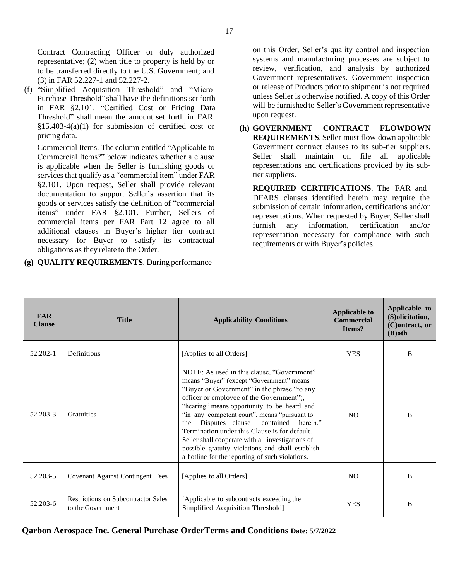Contract Contracting Officer or duly authorized representative; (2) when title to property is held by or to be transferred directly to the U.S. Government; and (3) in FAR 52.227-1 and 52.227-2.

(f) "Simplified Acquisition Threshold" and "Micro-Purchase Threshold" shall have the definitions set forth in FAR §2.101. "Certified Cost or Pricing Data Threshold" shall mean the amount set forth in FAR §15.403-4(a)(1) for submission of certified cost or pricing data.

Commercial Items. The column entitled "Applicable to Commercial Items?" below indicates whether a clause is applicable when the Seller is furnishing goods or services that qualify as a "commercial item" under FAR §2.101. Upon request, Seller shall provide relevant documentation to support Seller's assertion that its goods or services satisfy the definition of "commercial items" under FAR §2.101. Further, Sellers of commercial items per FAR Part 12 agree to all additional clauses in Buyer's higher tier contract necessary for Buyer to satisfy its contractual obligations as they relate to the Order.

### **(g) QUALITY REQUIREMENTS**. During performance

on this Order, Seller's quality control and inspection systems and manufacturing processes are subject to review, verification, and analysis by authorized Government representatives. Government inspection or release of Products prior to shipment is not required unless Seller is otherwise notified. A copy of this Order will be furnished to Seller's Government representative upon request.

**(h) GOVERNMENT CONTRACT FLOWDOWN REQUIREMENTS**. Seller must flow down applicable Government contract clauses to its sub-tier suppliers. Seller shall maintain on file all applicable representations and certifications provided by its subtier suppliers.

**REQUIRED CERTIFICATIONS**. The FAR and DFARS clauses identified herein may require the submission of certain information, certifications and/or representations. When requested by Buyer, Seller shall furnish any information, certification and/or representation necessary for compliance with such requirements or with Buyer's policies.

| <b>FAR</b><br><b>Clause</b> | <b>Title</b>                                             | <b>Applicability Conditions</b>                                                                                                                                                                                                                                                                                                                                                                                                                                                                                                              | <b>Applicable to</b><br><b>Commercial</b><br>Items? | Applicable to<br>(S)olicitation,<br>(C)ontract, or<br>$(B)$ oth |
|-----------------------------|----------------------------------------------------------|----------------------------------------------------------------------------------------------------------------------------------------------------------------------------------------------------------------------------------------------------------------------------------------------------------------------------------------------------------------------------------------------------------------------------------------------------------------------------------------------------------------------------------------------|-----------------------------------------------------|-----------------------------------------------------------------|
| 52.202-1                    | Definitions                                              | [Applies to all Orders]                                                                                                                                                                                                                                                                                                                                                                                                                                                                                                                      | <b>YES</b>                                          | B                                                               |
| 52.203-3                    | <b>Gratuities</b>                                        | NOTE: As used in this clause, "Government"<br>means "Buyer" (except "Government" means<br>"Buyer or Government" in the phrase "to any<br>officer or employee of the Government"),<br>"hearing" means opportunity to be heard, and<br>"in any competent court", means "pursuant to<br>Disputes clause contained herein."<br>the<br>Termination under this Clause is for default.<br>Seller shall cooperate with all investigations of<br>possible gratuity violations, and shall establish<br>a hotline for the reporting of such violations. | NO                                                  | B                                                               |
| 52.203-5                    | Covenant Against Contingent Fees                         | [Applies to all Orders]                                                                                                                                                                                                                                                                                                                                                                                                                                                                                                                      | NO.                                                 | B                                                               |
| 52.203-6                    | Restrictions on Subcontractor Sales<br>to the Government | [Applicable to subcontracts exceeding the<br>Simplified Acquisition Threshold]                                                                                                                                                                                                                                                                                                                                                                                                                                                               | <b>YES</b>                                          | B                                                               |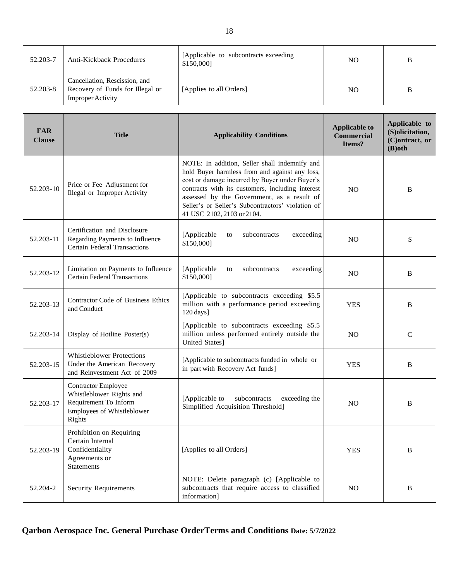| 52.203-7 | <b>Anti-Kickback Procedures</b>                                                               | [Applicable to subcontracts exceeding]<br>\$150,000] | NO. | B |
|----------|-----------------------------------------------------------------------------------------------|------------------------------------------------------|-----|---|
| 52.203-8 | Cancellation, Rescission, and<br>Recovery of Funds for Illegal or<br><b>Improper Activity</b> | [Applies to all Orders]                              | NO. | B |

| <b>FAR</b><br><b>Clause</b> | <b>Title</b>                                                                                                            | <b>Applicability Conditions</b>                                                                                                                                                                                                                                                                                                        | <b>Applicable to</b><br><b>Commercial</b><br>Items? | Applicable to<br>(S)olicitation,<br>(C)ontract, or<br>$(B)$ oth |
|-----------------------------|-------------------------------------------------------------------------------------------------------------------------|----------------------------------------------------------------------------------------------------------------------------------------------------------------------------------------------------------------------------------------------------------------------------------------------------------------------------------------|-----------------------------------------------------|-----------------------------------------------------------------|
| 52.203-10                   | Price or Fee Adjustment for<br>Illegal or Improper Activity                                                             | NOTE: In addition, Seller shall indemnify and<br>hold Buyer harmless from and against any loss,<br>cost or damage incurred by Buyer under Buyer's<br>contracts with its customers, including interest<br>assessed by the Government, as a result of<br>Seller's or Seller's Subcontractors' violation of<br>41 USC 2102, 2103 or 2104. | N <sub>O</sub>                                      | B                                                               |
| 52.203-11                   | Certification and Disclosure<br>Regarding Payments to Influence<br><b>Certain Federal Transactions</b>                  | [Applicable<br>subcontracts<br>exceeding<br>to<br>\$150,000]                                                                                                                                                                                                                                                                           | N <sub>O</sub>                                      | S                                                               |
| 52.203-12                   | Limitation on Payments to Influence<br><b>Certain Federal Transactions</b>                                              | [Applicable<br>subcontracts<br>exceeding<br>to<br>\$150,000]                                                                                                                                                                                                                                                                           | N <sub>O</sub>                                      | B                                                               |
| 52.203-13                   | Contractor Code of Business Ethics<br>and Conduct                                                                       | [Applicable to subcontracts exceeding \$5.5<br>million with a performance period exceeding<br>120 days]                                                                                                                                                                                                                                | <b>YES</b>                                          | B                                                               |
| 52.203-14                   | Display of Hotline Poster(s)                                                                                            | [Applicable to subcontracts exceeding \$5.5<br>million unless performed entirely outside the<br>United States]                                                                                                                                                                                                                         | N <sub>O</sub>                                      | $\mathbf C$                                                     |
| 52.203-15                   | <b>Whistleblower Protections</b><br>Under the American Recovery<br>and Reinvestment Act of 2009                         | [Applicable to subcontracts funded in whole or<br>in part with Recovery Act funds]                                                                                                                                                                                                                                                     | <b>YES</b>                                          | B                                                               |
| 52.203-17                   | <b>Contractor Employee</b><br>Whistleblower Rights and<br>Requirement To Inform<br>Employees of Whistleblower<br>Rights | subcontracts<br>[Applicable to<br>exceeding the<br>Simplified Acquisition Threshold]                                                                                                                                                                                                                                                   | N <sub>O</sub>                                      | B                                                               |
| 52.203-19                   | Prohibition on Requiring<br>Certain Internal<br>Confidentiality<br>Agreements or<br><b>Statements</b>                   | [Applies to all Orders]                                                                                                                                                                                                                                                                                                                | <b>YES</b>                                          | $\, {\bf B}$                                                    |
| 52.204-2                    | <b>Security Requirements</b>                                                                                            | NOTE: Delete paragraph (c) [Applicable to<br>subcontracts that require access to classified<br>information]                                                                                                                                                                                                                            | $\rm NO$                                            | $\, {\bf B}$                                                    |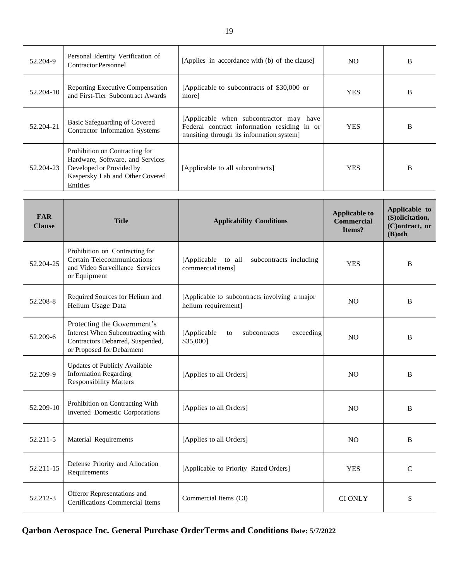| 52.204-9  | Personal Identity Verification of<br><b>Contractor Personnel</b>                                                                                     | [Applies in accordance with (b) of the clause]                                                                                       | NO.        | B |
|-----------|------------------------------------------------------------------------------------------------------------------------------------------------------|--------------------------------------------------------------------------------------------------------------------------------------|------------|---|
| 52.204-10 | <b>Reporting Executive Compensation</b><br>and First-Tier Subcontract Awards                                                                         | [Applicable to subcontracts of \$30,000 or<br>morel                                                                                  | <b>YES</b> | B |
| 52.204-21 | Basic Safeguarding of Covered<br>Contractor Information Systems                                                                                      | [Applicable when subcontractor may have<br>Federal contract information residing in or<br>transiting through its information system] | <b>YES</b> | B |
| 52.204-23 | Prohibition on Contracting for<br>Hardware, Software, and Services<br>Developed or Provided by<br>Kaspersky Lab and Other Covered<br><b>Entities</b> | [Applicable to all subcontracts]                                                                                                     | <b>YES</b> | B |

| <b>FAR</b><br><b>Clause</b> | <b>Title</b>                                                                                                                      | <b>Applicability Conditions</b>                                      | <b>Applicable to</b><br><b>Commercial</b><br>Items? | Applicable to<br>(S)olicitation,<br>(C)ontract, or<br>$(B)$ oth |
|-----------------------------|-----------------------------------------------------------------------------------------------------------------------------------|----------------------------------------------------------------------|-----------------------------------------------------|-----------------------------------------------------------------|
| 52.204-25                   | Prohibition on Contracting for<br><b>Certain Telecommunications</b><br>and Video Surveillance Services<br>or Equipment            | [Applicable to all<br>subcontracts including<br>commercial items]    | <b>YES</b>                                          | <sub>B</sub>                                                    |
| 52.208-8                    | Required Sources for Helium and<br>Helium Usage Data                                                                              | [Applicable to subcontracts involving a major<br>helium requirement] | N <sub>O</sub>                                      | B                                                               |
| 52.209-6                    | Protecting the Government's<br>Interest When Subcontracting with<br>Contractors Debarred, Suspended,<br>or Proposed for Debarment | [Applicable<br>subcontracts<br>exceeding<br>to<br>\$35,000]          | N <sub>O</sub>                                      | B                                                               |
| 52.209-9                    | <b>Updates of Publicly Available</b><br><b>Information Regarding</b><br><b>Responsibility Matters</b>                             | [Applies to all Orders]                                              | N <sub>O</sub>                                      | B                                                               |
| 52.209-10                   | Prohibition on Contracting With<br><b>Inverted Domestic Corporations</b>                                                          | [Applies to all Orders]                                              | N <sub>O</sub>                                      | B                                                               |
| 52.211-5                    | Material Requirements                                                                                                             | [Applies to all Orders]                                              | N <sub>O</sub>                                      | B                                                               |
| 52.211-15                   | Defense Priority and Allocation<br>Requirements                                                                                   | [Applicable to Priority Rated Orders]                                | <b>YES</b>                                          | $\mathcal{C}$                                                   |
| 52.212-3                    | Offeror Representations and<br><b>Certifications-Commercial Items</b>                                                             | Commercial Items (CI)                                                | <b>CI ONLY</b>                                      | S                                                               |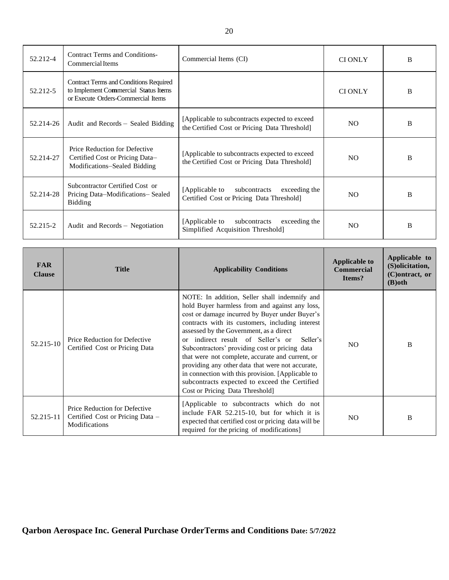| 52.212-4  | <b>Contract Terms and Conditions-</b><br>Commercial Items                                                                   | Commercial Items (CI)                                                                            | <b>CIONLY</b> | B |
|-----------|-----------------------------------------------------------------------------------------------------------------------------|--------------------------------------------------------------------------------------------------|---------------|---|
| 52.212-5  | <b>Contract Terms and Conditions Required</b><br>to Implement Commercial Status Items<br>or Execute Orders-Commercial Items |                                                                                                  | <b>CIONLY</b> | B |
| 52.214-26 | Audit and Records – Sealed Bidding                                                                                          | [Applicable to subcontracts expected to exceed]<br>the Certified Cost or Pricing Data Threshold] | NO.           | B |
| 52.214-27 | Price Reduction for Defective<br>Certified Cost or Pricing Data-<br>Modifications-Sealed Bidding                            | [Applicable to subcontracts expected to exceed]<br>the Certified Cost or Pricing Data Threshold  | NO.           | B |
| 52.214-28 | Subcontractor Certified Cost or<br>Pricing Data-Modifications-Sealed<br><b>Bidding</b>                                      | [Applicable to<br>subcontracts<br>exceeding the<br>Certified Cost or Pricing Data Threshold]     | NO.           | B |
| 52.215-2  | Audit and Records – Negotiation                                                                                             | [Applicable to<br>subcontracts<br>exceeding the<br>Simplified Acquisition Threshold]             | NO.           | B |

| <b>FAR</b><br><b>Clause</b> | <b>Title</b>                                                                              | <b>Applicability Conditions</b>                                                                                                                                                                                                                                                                                                                                                                                                                                                                                                                                                                                 | <b>Applicable to</b><br><b>Commercial</b><br>Items? | Applicable to<br>(S) olicitation,<br>$(C)$ ontract, or<br>$(B)$ oth |
|-----------------------------|-------------------------------------------------------------------------------------------|-----------------------------------------------------------------------------------------------------------------------------------------------------------------------------------------------------------------------------------------------------------------------------------------------------------------------------------------------------------------------------------------------------------------------------------------------------------------------------------------------------------------------------------------------------------------------------------------------------------------|-----------------------------------------------------|---------------------------------------------------------------------|
| 52.215-10                   | Price Reduction for Defective<br>Certified Cost or Pricing Data                           | NOTE: In addition, Seller shall indemnify and<br>hold Buyer harmless from and against any loss,<br>cost or damage incurred by Buyer under Buyer's<br>contracts with its customers, including interest<br>assessed by the Government, as a direct<br>indirect result of Seller's or<br>Seller's<br>$\alpha$ r<br>Subcontractors' providing cost or pricing data<br>that were not complete, accurate and current, or<br>providing any other data that were not accurate,<br>in connection with this provision. [Applicable to<br>subcontracts expected to exceed the Certified<br>Cost or Pricing Data Threshold] | NO.                                                 | B                                                                   |
| 52.215-11                   | Price Reduction for Defective<br>Certified Cost or Pricing Data –<br><b>Modifications</b> | [Applicable to subcontracts which do not<br>include FAR 52.215-10, but for which it is<br>expected that certified cost or pricing data will be<br>required for the pricing of modifications]                                                                                                                                                                                                                                                                                                                                                                                                                    | NO.                                                 | B                                                                   |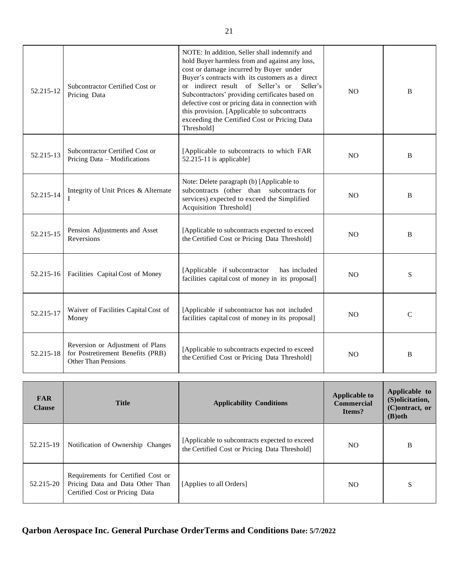| 52.215-12     | Subcontractor Certified Cost or<br>Pricing Data                                              | NOTE: In addition, Seller shall indemnify and<br>hold Buyer harmless from and against any loss,<br>cost or damage incurred by Buyer under<br>Buyer's contracts with its customers as a direct<br>or indirect result of Seller's or<br>Seller's<br>Subcontractors' providing certificates based on<br>defective cost or pricing data in connection with<br>this provision. [Applicable to subcontracts<br>exceeding the Certified Cost or Pricing Data<br>Threshold] | N <sub>O</sub> | B           |
|---------------|----------------------------------------------------------------------------------------------|---------------------------------------------------------------------------------------------------------------------------------------------------------------------------------------------------------------------------------------------------------------------------------------------------------------------------------------------------------------------------------------------------------------------------------------------------------------------|----------------|-------------|
| 52.215-13     | Subcontractor Certified Cost or<br>Pricing Data - Modifications                              | [Applicable to subcontracts to which FAR<br>52.215-11 is applicable]                                                                                                                                                                                                                                                                                                                                                                                                | N <sub>O</sub> | B           |
| 52.215-14     | Integrity of Unit Prices & Alternate<br>L                                                    | Note: Delete paragraph (b) [Applicable to<br>subcontracts (other than subcontracts for<br>services) expected to exceed the Simplified<br>Acquisition Threshold]                                                                                                                                                                                                                                                                                                     | N <sub>O</sub> | B           |
| 52.215-15     | Pension Adjustments and Asset<br>Reversions                                                  | [Applicable to subcontracts expected to exceed<br>the Certified Cost or Pricing Data Threshold]                                                                                                                                                                                                                                                                                                                                                                     | N <sub>O</sub> | B           |
| $52.215 - 16$ | Facilities Capital Cost of Money                                                             | [Applicable if subcontractor<br>has included<br>facilities capital cost of money in its proposal]                                                                                                                                                                                                                                                                                                                                                                   | <b>NO</b>      | S           |
| 52.215-17     | Waiver of Facilities Capital Cost of<br>Money                                                | [Applicable if subcontractor has not included<br>facilities capital cost of money in its proposal]                                                                                                                                                                                                                                                                                                                                                                  | N <sub>O</sub> | $\mathbf C$ |
| 52.215-18     | Reversion or Adjustment of Plans<br>for Postretirement Benefits (PRB)<br>Other Than Pensions | [Applicable to subcontracts expected to exceed<br>the Certified Cost or Pricing Data Threshold]                                                                                                                                                                                                                                                                                                                                                                     | <b>NO</b>      | B           |

| <b>FAR</b><br><b>Clause</b> | <b>Title</b>                                                                                             | <b>Applicability Conditions</b>                                                                 | <b>Applicable to</b><br><b>Commercial</b><br>Items? | Applicable to<br>(S) olicitation,<br>$(C)$ ontract, or<br>$(B)$ oth |
|-----------------------------|----------------------------------------------------------------------------------------------------------|-------------------------------------------------------------------------------------------------|-----------------------------------------------------|---------------------------------------------------------------------|
| 52.215-19                   | Notification of Ownership Changes                                                                        | [Applicable to subcontracts expected to exceed<br>the Certified Cost or Pricing Data Threshold] | NO.                                                 | B                                                                   |
| 52.215-20                   | Requirements for Certified Cost or<br>Pricing Data and Data Other Than<br>Certified Cost or Pricing Data | [Applies to all Orders]                                                                         | NO.                                                 | S                                                                   |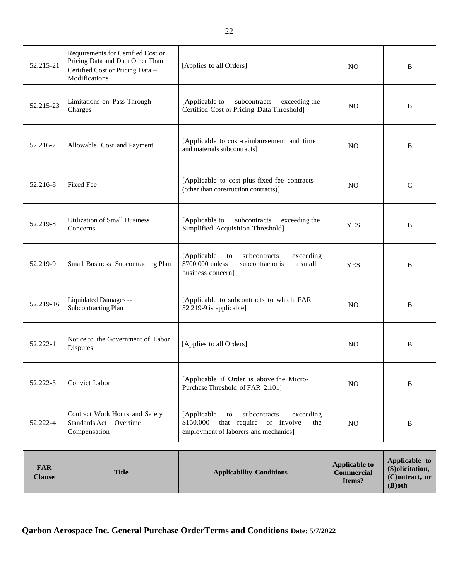| 52.215-21 | Requirements for Certified Cost or<br>Pricing Data and Data Other Than<br>Certified Cost or Pricing Data -<br>Modifications | [Applies to all Orders]                                                                                                                | N <sub>O</sub> | B            |
|-----------|-----------------------------------------------------------------------------------------------------------------------------|----------------------------------------------------------------------------------------------------------------------------------------|----------------|--------------|
| 52.215-23 | Limitations on Pass-Through<br>Charges                                                                                      | [Applicable to<br>subcontracts<br>exceeding the<br>Certified Cost or Pricing Data Threshold]                                           | N <sub>O</sub> | B            |
| 52.216-7  | Allowable Cost and Payment                                                                                                  | [Applicable to cost-reimbursement and time<br>and materials subcontracts]                                                              | N <sub>O</sub> | B            |
| 52.216-8  | <b>Fixed Fee</b>                                                                                                            | [Applicable to cost-plus-fixed-fee contracts]<br>(other than construction contracts)]                                                  | N <sub>O</sub> | $\mathsf{C}$ |
| 52.219-8  | <b>Utilization of Small Business</b><br>Concerns                                                                            | [Applicable to<br>subcontracts<br>exceeding the<br>Simplified Acquisition Threshold]                                                   | <b>YES</b>     | B            |
| 52.219-9  | Small Business Subcontracting Plan                                                                                          | [Applicable<br>subcontracts<br>exceeding<br>to<br>\$700,000 unless<br>subcontractor is<br>a small<br>business concern]                 | <b>YES</b>     | B            |
| 52.219-16 | Liquidated Damages --<br>Subcontracting Plan                                                                                | [Applicable to subcontracts to which FAR<br>52.219-9 is applicable]                                                                    | N <sub>O</sub> | B            |
| 52.222-1  | Notice to the Government of Labor<br>Disputes                                                                               | [Applies to all Orders]                                                                                                                | N <sub>O</sub> | B            |
| 52.222-3  | Convict Labor                                                                                                               | [Applicable if Order is above the Micro-<br>Purchase Threshold of FAR 2.101]                                                           | N <sub>O</sub> | B            |
| 52.222-4  | Contract Work Hours and Safety<br>Standards Act-Overtime<br>Compensation                                                    | [Applicable<br>subcontracts<br>exceeding<br>to<br>that require or involve<br>\$150,000<br>the<br>employment of laborers and mechanics] | NO             | B            |

| <b>FAR</b><br><b>Clause</b> | <b>Title</b> | <b>Applicability Conditions</b> | <b>Applicable to</b><br><b>Commercial</b><br>Items? | Applicable to<br>(S) olicitation,<br>$(C)$ ontract, or<br>$(B)$ oth |
|-----------------------------|--------------|---------------------------------|-----------------------------------------------------|---------------------------------------------------------------------|
|-----------------------------|--------------|---------------------------------|-----------------------------------------------------|---------------------------------------------------------------------|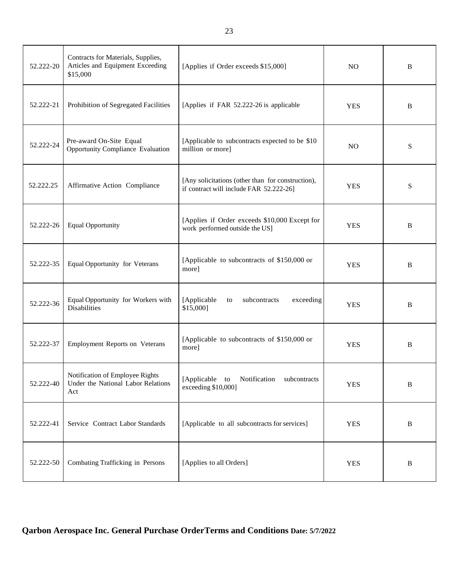| 52.222-20 | Contracts for Materials, Supplies,<br>Articles and Equipment Exceeding<br>\$15,000 | [Applies if Order exceeds \$15,000]                                                          | N <sub>O</sub> | B |
|-----------|------------------------------------------------------------------------------------|----------------------------------------------------------------------------------------------|----------------|---|
| 52.222-21 | Prohibition of Segregated Facilities                                               | [Applies if FAR 52.222-26 is applicable                                                      | <b>YES</b>     | B |
| 52.222-24 | Pre-award On-Site Equal<br>Opportunity Compliance Evaluation                       | [Applicable to subcontracts expected to be \$10<br>million or more]                          | N <sub>O</sub> | S |
| 52.222.25 | Affirmative Action Compliance                                                      | [Any solicitations (other than for construction),<br>if contract will include FAR 52.222-26] | <b>YES</b>     | S |
| 52.222-26 | <b>Equal Opportunity</b>                                                           | [Applies if Order exceeds \$10,000 Except for<br>work performed outside the US]              | <b>YES</b>     | B |
| 52.222-35 | Equal Opportunity for Veterans                                                     | [Applicable to subcontracts of \$150,000 or<br>more]                                         | <b>YES</b>     | B |
| 52.222-36 | Equal Opportunity for Workers with<br><b>Disabilities</b>                          | [Applicable<br>subcontracts<br>exceeding<br>to<br>\$15,000]                                  | <b>YES</b>     | B |
| 52.222-37 | Employment Reports on Veterans                                                     | [Applicable to subcontracts of \$150,000 or<br>more]                                         | <b>YES</b>     | B |
| 52.222-40 | Notification of Employee Rights<br>Under the National Labor Relations<br>Act       | [Applicable<br>Notification<br>subcontracts<br>to<br>exceeding \$10,000]                     | <b>YES</b>     | B |
| 52.222-41 | Service Contract Labor Standards                                                   | [Applicable to all subcontracts for services]                                                | <b>YES</b>     | B |
| 52.222-50 | Combating Trafficking in Persons                                                   | [Applies to all Orders]                                                                      | <b>YES</b>     | B |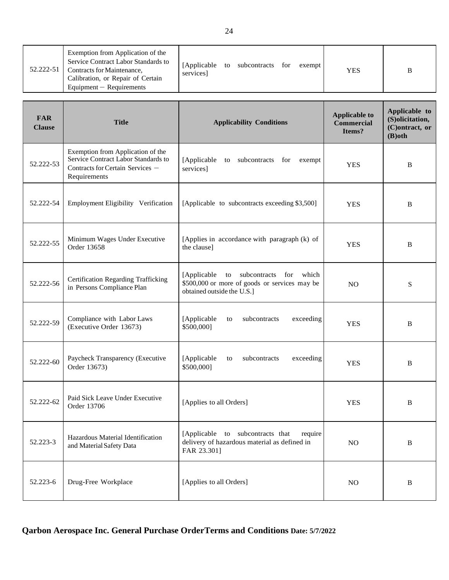| 52.222-51 | Exemption from Application of the<br>Service Contract Labor Standards to<br>Contracts for Maintenance,<br>Calibration, or Repair of Certain<br>$Equipment - Required$ | services |  | [Applicable to subcontracts for exempt] |  |  | <b>YES</b> |  |
|-----------|-----------------------------------------------------------------------------------------------------------------------------------------------------------------------|----------|--|-----------------------------------------|--|--|------------|--|
|-----------|-----------------------------------------------------------------------------------------------------------------------------------------------------------------------|----------|--|-----------------------------------------|--|--|------------|--|

| <b>FAR</b><br><b>Clause</b> | <b>Title</b>                                                                                                                 | <b>Applicability Conditions</b>                                                                                             | <b>Applicable to</b><br><b>Commercial</b><br>Items? | Applicable to<br>(S)olicitation,<br>(C)ontract, or<br>$(B)$ oth |
|-----------------------------|------------------------------------------------------------------------------------------------------------------------------|-----------------------------------------------------------------------------------------------------------------------------|-----------------------------------------------------|-----------------------------------------------------------------|
| 52.222-53                   | Exemption from Application of the<br>Service Contract Labor Standards to<br>Contracts for Certain Services -<br>Requirements | [Applicable to subcontracts for<br>exempt<br>services]                                                                      | <b>YES</b>                                          | B                                                               |
| 52.222-54                   | Employment Eligibility Verification                                                                                          | [Applicable to subcontracts exceeding \$3,500]                                                                              | <b>YES</b>                                          | B                                                               |
| 52.222-55                   | Minimum Wages Under Executive<br>Order 13658                                                                                 | [Applies in accordance with paragraph (k) of<br>the clause]                                                                 | <b>YES</b>                                          | B                                                               |
| 52.222-56                   | <b>Certification Regarding Trafficking</b><br>in Persons Compliance Plan                                                     | [Applicable]<br>to subcontracts for<br>which<br>\$500,000 or more of goods or services may be<br>obtained outside the U.S.] | N <sub>O</sub>                                      | S                                                               |
| 52.222-59                   | Compliance with Labor Laws<br>(Executive Order 13673)                                                                        | [Applicable<br>subcontracts<br>exceeding<br>to<br>\$500,000]                                                                | <b>YES</b>                                          | B                                                               |
| 52.222-60                   | Paycheck Transparency (Executive<br>Order 13673)                                                                             | [Applicable<br>exceeding<br>subcontracts<br>to<br>\$500,000]                                                                | <b>YES</b>                                          | B                                                               |
| 52.222-62                   | Paid Sick Leave Under Executive<br>Order 13706                                                                               | [Applies to all Orders]                                                                                                     | <b>YES</b>                                          | B                                                               |
| 52.223-3                    | Hazardous Material Identification<br>and Material Safety Data                                                                | [Applicable to subcontracts that<br>require<br>delivery of hazardous material as defined in<br>FAR 23.301]                  | NO                                                  | $\, {\bf B}$                                                    |
| 52.223-6                    | Drug-Free Workplace                                                                                                          | [Applies to all Orders]                                                                                                     | $\rm NO$                                            | $\bf{B}$                                                        |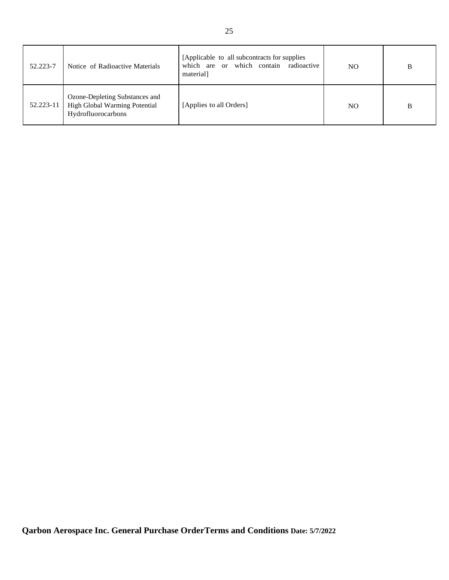| 52.223-7  | Notice of Radioactive Materials                                                       | [Applicable to all subcontracts for supplies]<br>which are or which contain radioactive<br>material] | NO. | B |
|-----------|---------------------------------------------------------------------------------------|------------------------------------------------------------------------------------------------------|-----|---|
| 52.223-11 | Ozone-Depleting Substances and<br>High Global Warming Potential<br>Hydrofluorocarbons | [Applies to all Orders]                                                                              | NO. | B |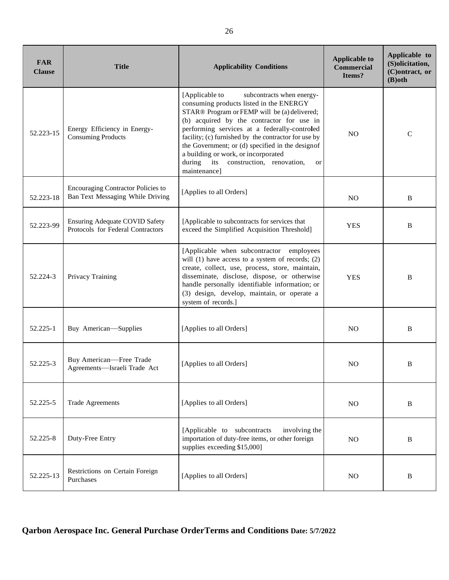| <b>FAR</b><br><b>Clause</b> | <b>Title</b>                                                                  | <b>Applicability Conditions</b>                                                                                                                                                                                                                                                                                                                                                                                                                                   | <b>Applicable to</b><br><b>Commercial</b><br>Items? | Applicable to<br>(S)olicitation,<br>(C)ontract, or<br>$(B)$ oth |
|-----------------------------|-------------------------------------------------------------------------------|-------------------------------------------------------------------------------------------------------------------------------------------------------------------------------------------------------------------------------------------------------------------------------------------------------------------------------------------------------------------------------------------------------------------------------------------------------------------|-----------------------------------------------------|-----------------------------------------------------------------|
| 52.223-15                   | Energy Efficiency in Energy-<br><b>Consuming Products</b>                     | subcontracts when energy-<br>[Applicable to<br>consuming products listed in the ENERGY<br>STAR® Program or FEMP will be (a) delivered;<br>(b) acquired by the contractor for use in<br>performing services at a federally-controled<br>facility; (c) furnished by the contractor for use by<br>the Government; or (d) specified in the designof<br>a building or work, or incorporated<br>during<br>its<br>construction, renovation,<br><b>or</b><br>maintenance] | N <sub>O</sub>                                      | $\mathcal{C}$                                                   |
| 52.223-18                   | <b>Encouraging Contractor Policies to</b><br>Ban Text Messaging While Driving | [Applies to all Orders]                                                                                                                                                                                                                                                                                                                                                                                                                                           | N <sub>O</sub>                                      | B                                                               |
| 52.223-99                   | <b>Ensuring Adequate COVID Safety</b><br>Protocols for Federal Contractors    | [Applicable to subcontracts for services that<br>exceed the Simplified Acquisition Threshold]                                                                                                                                                                                                                                                                                                                                                                     | <b>YES</b>                                          | B                                                               |
| 52.224-3                    | Privacy Training                                                              | [Applicable when subcontractor employees<br>will $(1)$ have access to a system of records; $(2)$<br>create, collect, use, process, store, maintain,<br>disseminate, disclose, dispose, or otherwise<br>handle personally identifiable information; or<br>(3) design, develop, maintain, or operate a<br>system of records.]                                                                                                                                       | <b>YES</b>                                          | B                                                               |
| 52.225-1                    | Buy American-Supplies                                                         | [Applies to all Orders]                                                                                                                                                                                                                                                                                                                                                                                                                                           | N <sub>O</sub>                                      | B                                                               |
| 52.225-3                    | Buy American-Free Trade<br>Agreements-Israeli Trade Act                       | [Applies to all Orders]                                                                                                                                                                                                                                                                                                                                                                                                                                           | N <sub>O</sub>                                      | B                                                               |
| 52.225-5                    | <b>Trade Agreements</b>                                                       | [Applies to all Orders]                                                                                                                                                                                                                                                                                                                                                                                                                                           | N <sub>O</sub>                                      | B                                                               |
| 52.225-8                    | Duty-Free Entry                                                               | [Applicable to subcontracts]<br>involving the<br>importation of duty-free items, or other foreign<br>supplies exceeding \$15,000]                                                                                                                                                                                                                                                                                                                                 | N <sub>O</sub>                                      | B                                                               |
| 52.225-13                   | Restrictions on Certain Foreign<br>Purchases                                  | [Applies to all Orders]                                                                                                                                                                                                                                                                                                                                                                                                                                           | NO                                                  | B                                                               |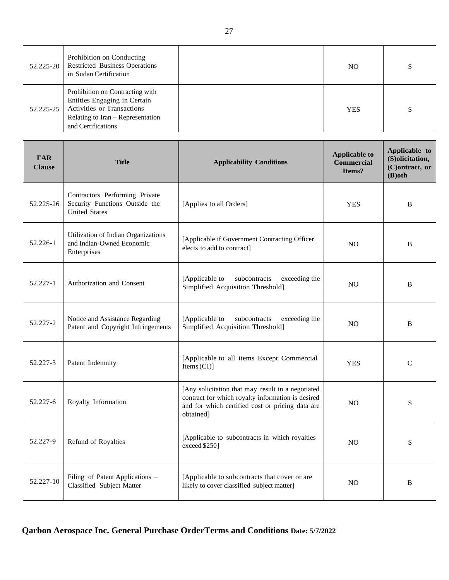| 52.225-20 | Prohibition on Conducting<br><b>Restricted Business Operations</b><br>in Sudan Certification                                                                    | NO.        | S |
|-----------|-----------------------------------------------------------------------------------------------------------------------------------------------------------------|------------|---|
| 52.225-25 | Prohibition on Contracting with<br>Entities Engaging in Certain<br><b>Activities or Transactions</b><br>Relating to Iran - Representation<br>and Certifications | <b>YES</b> | S |

| <b>FAR</b><br><b>Clause</b> | <b>Title</b>                                                                             | <b>Applicability Conditions</b>                                                                                                                                         | <b>Applicable to</b><br><b>Commercial</b><br>Items? | Applicable to<br>(S)olicitation,<br>(C)ontract, or<br>$(B)$ oth |
|-----------------------------|------------------------------------------------------------------------------------------|-------------------------------------------------------------------------------------------------------------------------------------------------------------------------|-----------------------------------------------------|-----------------------------------------------------------------|
| 52.225-26                   | Contractors Performing Private<br>Security Functions Outside the<br><b>United States</b> | [Applies to all Orders]                                                                                                                                                 | <b>YES</b>                                          | B                                                               |
| 52.226-1                    | Utilization of Indian Organizations<br>and Indian-Owned Economic<br>Enterprises          | [Applicable if Government Contracting Officer<br>elects to add to contract]                                                                                             | N <sub>O</sub>                                      | $\, {\bf B}$                                                    |
| 52.227-1                    | Authorization and Consent                                                                | [Applicable to<br>subcontracts<br>exceeding the<br>Simplified Acquisition Threshold]                                                                                    | N <sub>O</sub>                                      | B                                                               |
| 52.227-2                    | Notice and Assistance Regarding<br>Patent and Copyright Infringements                    | [Applicable to<br>subcontracts<br>exceeding the<br>Simplified Acquisition Threshold]                                                                                    | N <sub>O</sub>                                      | B                                                               |
| 52.227-3                    | Patent Indemnity                                                                         | [Applicable to all items Except Commercial<br>Items $(CI)$ ]                                                                                                            | <b>YES</b>                                          | $\mathcal{C}$                                                   |
| 52.227-6                    | Royalty Information                                                                      | [Any solicitation that may result in a negotiated<br>contract for which royalty information is desired<br>and for which certified cost or pricing data are<br>obtained] | <b>NO</b>                                           | S                                                               |
| 52.227-9                    | Refund of Royalties                                                                      | [Applicable to subcontracts in which royalties<br>exceed \$250]                                                                                                         | N <sub>O</sub>                                      | S                                                               |
| 52.227-10                   | Filing of Patent Applications -<br>Classified Subject Matter                             | [Applicable to subcontracts that cover or are<br>likely to cover classified subject matter]                                                                             | <b>NO</b>                                           | B                                                               |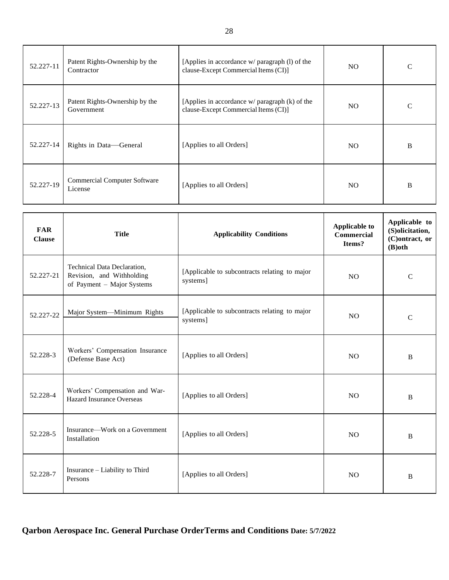| 52.227-11 | Patent Rights-Ownership by the<br>Contractor   | [Applies in accordance w/ paragraph (1) of the<br>clause-Except Commercial Items (CI)]     | NO. | $\mathcal{C}$ |
|-----------|------------------------------------------------|--------------------------------------------------------------------------------------------|-----|---------------|
| 52.227-13 | Patent Rights-Ownership by the<br>Government   | [Applies in accordance $w/$ paragraph $(k)$ of the<br>clause-Except Commercial Items (CI)] | NO. | $\mathcal{C}$ |
| 52.227-14 | Rights in Data—General                         | [Applies to all Orders]                                                                    | NO. | B             |
| 52.227-19 | <b>Commercial Computer Software</b><br>License | [Applies to all Orders]                                                                    | NO. | B             |

| <b>FAR</b><br><b>Clause</b> | <b>Title</b>                                                                           | <b>Applicability Conditions</b>                           | <b>Applicable to</b><br><b>Commercial</b><br>Items? | Applicable to<br>(S)olicitation,<br>(C)ontract, or<br>$(B)$ oth |
|-----------------------------|----------------------------------------------------------------------------------------|-----------------------------------------------------------|-----------------------------------------------------|-----------------------------------------------------------------|
| 52.227-21                   | Technical Data Declaration,<br>Revision, and Withholding<br>of Payment - Major Systems | [Applicable to subcontracts relating to major<br>systems] | NO.                                                 | $\mathcal{C}$                                                   |
| 52.227-22                   | Major System-Minimum Rights                                                            | [Applicable to subcontracts relating to major<br>systems] | N <sub>O</sub>                                      | $\mathcal{C}$                                                   |
| 52.228-3                    | Workers' Compensation Insurance<br>(Defense Base Act)                                  | [Applies to all Orders]                                   | NO.                                                 | B                                                               |
| 52.228-4                    | Workers' Compensation and War-<br><b>Hazard Insurance Overseas</b>                     | [Applies to all Orders]                                   | N <sub>O</sub>                                      | B                                                               |
| 52.228-5                    | Insurance—Work on a Government<br>Installation                                         | [Applies to all Orders]                                   | N <sub>O</sub>                                      | B                                                               |
| 52.228-7                    | Insurance - Liability to Third<br>Persons                                              | [Applies to all Orders]                                   | N <sub>O</sub>                                      | B                                                               |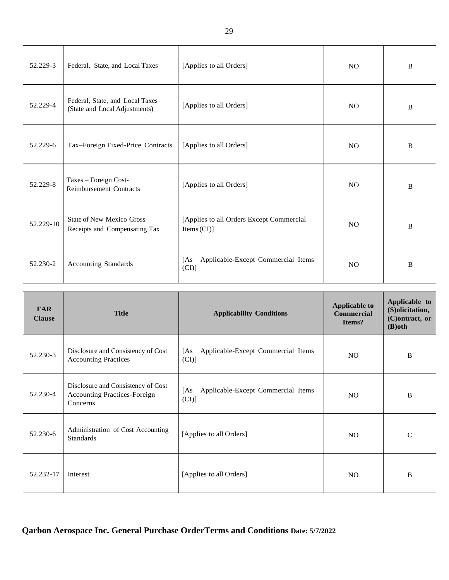| 52.229-3  | Federal, State, and Local Taxes                                   | [Applies to all Orders]                                | N <sub>O</sub> | B |
|-----------|-------------------------------------------------------------------|--------------------------------------------------------|----------------|---|
| 52.229-4  | Federal, State, and Local Taxes<br>(State and Local Adjustments)  | [Applies to all Orders]                                | N <sub>O</sub> | B |
| 52.229-6  | Tax-Foreign Fixed-Price Contracts                                 | [Applies to all Orders]                                | N <sub>O</sub> | B |
| 52.229-8  | Taxes - Foreign Cost-<br><b>Reimbursement Contracts</b>           | [Applies to all Orders]                                | N <sub>O</sub> | B |
| 52.229-10 | <b>State of New Mexico Gross</b><br>Receipts and Compensating Tax | [Applies to all Orders Except Commercial<br>Items (CI) | N <sub>O</sub> | B |
| 52.230-2  | Accounting Standards                                              | Applicable-Except Commercial Items<br>[As]<br>(CI)     | N <sub>O</sub> | B |

| <b>FAR</b><br><b>Clause</b> | <b>Title</b>                                                                          | <b>Applicability Conditions</b>                    | <b>Applicable to</b><br><b>Commercial</b><br>Items? | Applicable to<br>(S)olicitation,<br>(C) ontract, or<br>$(B)$ oth |
|-----------------------------|---------------------------------------------------------------------------------------|----------------------------------------------------|-----------------------------------------------------|------------------------------------------------------------------|
| 52.230-3                    | Disclosure and Consistency of Cost<br><b>Accounting Practices</b>                     | Applicable-Except Commercial Items<br>[As]<br>(CI) | NO.                                                 | B                                                                |
| 52.230-4                    | Disclosure and Consistency of Cost<br><b>Accounting Practices-Foreign</b><br>Concerns | [As]<br>Applicable-Except Commercial Items<br>(CI) | NO.                                                 | B                                                                |
| 52.230-6                    | Administration of Cost Accounting<br><b>Standards</b>                                 | [Applies to all Orders]                            | NO.                                                 | $\mathcal{C}$                                                    |
| 52.232-17                   | Interest                                                                              | [Applies to all Orders]                            | NO.                                                 | B                                                                |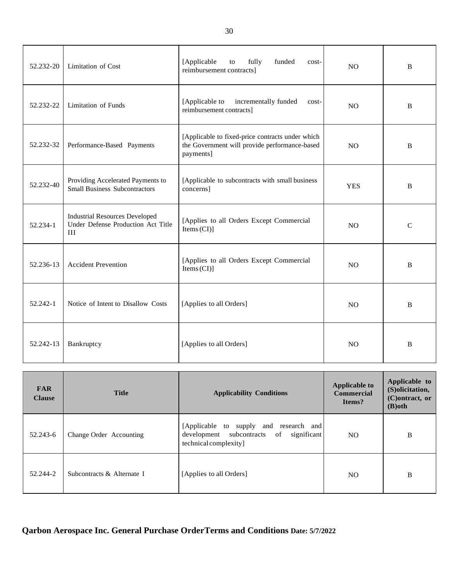| 52.232-20 | Limitation of Cost                                                                 | [Applicable<br>fully<br>funded<br>to<br>$cost-$<br>reimbursement contracts]                                    | N <sub>O</sub> | $\bf{B}$     |
|-----------|------------------------------------------------------------------------------------|----------------------------------------------------------------------------------------------------------------|----------------|--------------|
| 52.232-22 | <b>Limitation of Funds</b>                                                         | [Applicable to<br>incrementally funded<br>cost-<br>reimbursement contracts]                                    | N <sub>O</sub> | B            |
| 52.232-32 | Performance-Based Payments                                                         | [Applicable to fixed-price contracts under which<br>the Government will provide performance-based<br>payments] | N <sub>O</sub> | B            |
| 52.232-40 | Providing Accelerated Payments to<br><b>Small Business Subcontractors</b>          | [Applicable to subcontracts with small business<br>concerns]                                                   | <b>YES</b>     | B            |
| 52.234-1  | <b>Industrial Resources Developed</b><br>Under Defense Production Act Title<br>III | [Applies to all Orders Except Commercial<br>Items (CI)                                                         | <b>NO</b>      | $\mathsf{C}$ |
| 52.236-13 | <b>Accident Prevention</b>                                                         | [Applies to all Orders Except Commercial<br>Items $(Cl)$ ]                                                     | N <sub>O</sub> | B            |
| 52.242-1  | Notice of Intent to Disallow Costs                                                 | [Applies to all Orders]                                                                                        | N <sub>O</sub> | B            |
| 52.242-13 | Bankruptcy                                                                         | [Applies to all Orders]                                                                                        | N <sub>O</sub> | B            |

| <b>FAR</b><br><b>Clause</b> | <b>Title</b>               | <b>Applicability Conditions</b>                                                                               | <b>Applicable to</b><br><b>Commercial</b><br>Items? | Applicable to<br>(S)olicitation,<br>(C)ontract, or<br>$(B)$ oth |
|-----------------------------|----------------------------|---------------------------------------------------------------------------------------------------------------|-----------------------------------------------------|-----------------------------------------------------------------|
| 52.243-6                    | Change Order Accounting    | [Applicable to supply and research and<br>development subcontracts of<br>significant<br>technical complexity] | NO.                                                 | B                                                               |
| 52.244-2                    | Subcontracts & Alternate I | [Applies to all Orders]                                                                                       | NO.                                                 | B                                                               |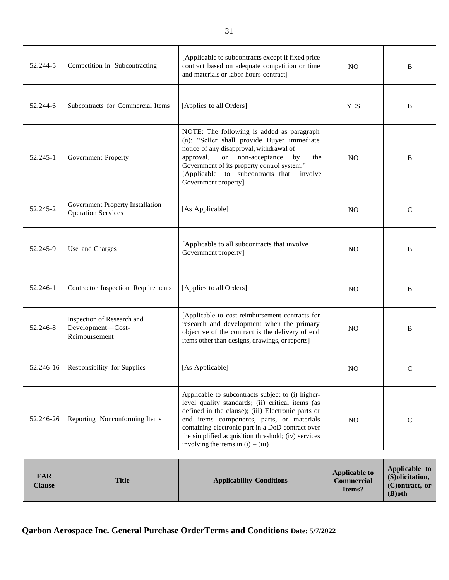| 52.244-5  | Competition in Subcontracting                                    | [Applicable to subcontracts except if fixed price]<br>contract based on adequate competition or time<br>and materials or labor hours contract]                                                                                                                                                                                                              | N <sub>O</sub> | B            |
|-----------|------------------------------------------------------------------|-------------------------------------------------------------------------------------------------------------------------------------------------------------------------------------------------------------------------------------------------------------------------------------------------------------------------------------------------------------|----------------|--------------|
| 52.244-6  | Subcontracts for Commercial Items                                | [Applies to all Orders]                                                                                                                                                                                                                                                                                                                                     | <b>YES</b>     | B            |
| 52.245-1  | Government Property                                              | NOTE: The following is added as paragraph<br>(n): "Seller shall provide Buyer immediate<br>notice of any disapproval, withdrawal of<br>approval,<br>or or<br>non-acceptance<br>by<br>the<br>Government of its property control system."<br>[Applicable to subcontracts that<br>involve<br>Government property]                                              | N <sub>O</sub> | B            |
| 52.245-2  | Government Property Installation<br><b>Operation Services</b>    | [As Applicable]                                                                                                                                                                                                                                                                                                                                             | N <sub>O</sub> | $\mathsf{C}$ |
| 52.245-9  | Use and Charges                                                  | [Applicable to all subcontracts that involve<br>Government property]                                                                                                                                                                                                                                                                                        | N <sub>O</sub> | B            |
| 52.246-1  | Contractor Inspection Requirements                               | [Applies to all Orders]                                                                                                                                                                                                                                                                                                                                     | N <sub>O</sub> | B            |
| 52.246-8  | Inspection of Research and<br>Development-Cost-<br>Reimbursement | [Applicable to cost-reimbursement contracts for<br>research and development when the primary<br>objective of the contract is the delivery of end<br>items other than designs, drawings, or reports]                                                                                                                                                         | N <sub>O</sub> | B            |
| 52.246-16 | Responsibility for Supplies                                      | [As Applicable]                                                                                                                                                                                                                                                                                                                                             | NO.            | $\mathsf{C}$ |
| 52.246-26 | Reporting Nonconforming Items                                    | Applicable to subcontracts subject to (i) higher-<br>level quality standards; (ii) critical items (as<br>defined in the clause); (iii) Electronic parts or<br>end items components, parts, or materials<br>containing electronic part in a DoD contract over<br>the simplified acquisition threshold; (iv) services<br>involving the items in $(i) - (iii)$ | N <sub>O</sub> | $\mathsf{C}$ |

| <b>FAR</b><br><b>Clause</b> | <b>Title</b> | <b>Applicability Conditions</b> | <b>Applicable to</b><br><b>Commercial</b><br>Items? | Applicable to<br>(S) olicitation,<br>$(C)$ ontract, or<br>$(B)$ oth |
|-----------------------------|--------------|---------------------------------|-----------------------------------------------------|---------------------------------------------------------------------|
|-----------------------------|--------------|---------------------------------|-----------------------------------------------------|---------------------------------------------------------------------|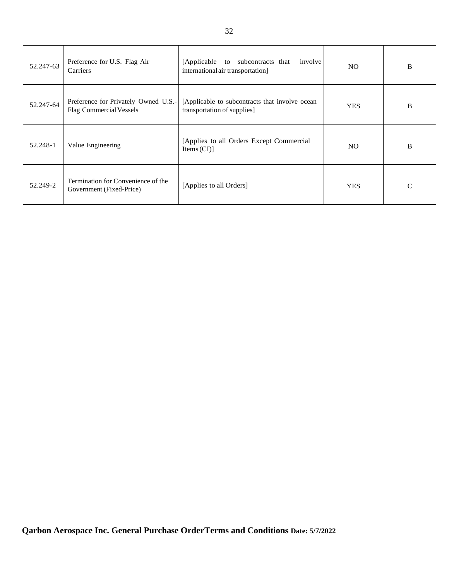| 52.247-63 | Preference for U.S. Flag Air<br>Carriers                        | [Applicable to subcontracts that<br>involve<br>international air transportation] | NO.        | B            |
|-----------|-----------------------------------------------------------------|----------------------------------------------------------------------------------|------------|--------------|
| 52.247-64 | Preference for Privately Owned U.S.-<br>Flag Commercial Vessels | [Applicable to subcontracts that involve ocean<br>transportation of supplies]    | <b>YES</b> | B            |
| 52.248-1  | Value Engineering                                               | [Applies to all Orders Except Commercial]<br>Items $(CI)$ ]                      | NO.        | B            |
| 52.249-2  | Termination for Convenience of the<br>Government (Fixed-Price)  | [Applies to all Orders]                                                          | <b>YES</b> | $\mathsf{C}$ |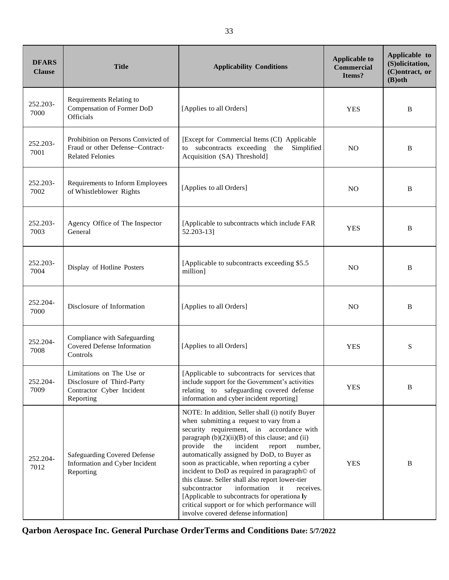| <b>DFARS</b><br><b>Clause</b> | <b>Title</b>                                                                                       | <b>Applicability Conditions</b>                                                                                                                                                                                                                                                                                                                                                                                                                                                                                                                                                                                                                            | <b>Applicable to</b><br><b>Commercial</b><br>Items? | Applicable to<br>(S)olicitation,<br>(C)ontract, or<br>$(B)$ oth |
|-------------------------------|----------------------------------------------------------------------------------------------------|------------------------------------------------------------------------------------------------------------------------------------------------------------------------------------------------------------------------------------------------------------------------------------------------------------------------------------------------------------------------------------------------------------------------------------------------------------------------------------------------------------------------------------------------------------------------------------------------------------------------------------------------------------|-----------------------------------------------------|-----------------------------------------------------------------|
| 252.203-<br>7000              | Requirements Relating to<br>Compensation of Former DoD<br>Officials                                | [Applies to all Orders]                                                                                                                                                                                                                                                                                                                                                                                                                                                                                                                                                                                                                                    | <b>YES</b>                                          | B                                                               |
| 252.203-<br>7001              | Prohibition on Persons Convicted of<br>Fraud or other Defense-Contract-<br><b>Related Felonies</b> | [Except for Commercial Items (CI) Applicable<br>to subcontracts exceeding the<br>Simplified<br>Acquisition (SA) Threshold]                                                                                                                                                                                                                                                                                                                                                                                                                                                                                                                                 | N <sub>O</sub>                                      | B                                                               |
| 252.203-<br>7002              | Requirements to Inform Employees<br>of Whistleblower Rights                                        | [Applies to all Orders]                                                                                                                                                                                                                                                                                                                                                                                                                                                                                                                                                                                                                                    | N <sub>O</sub>                                      | B                                                               |
| 252.203-<br>7003              | Agency Office of The Inspector<br>General                                                          | [Applicable to subcontracts which include FAR<br>52.203-13]                                                                                                                                                                                                                                                                                                                                                                                                                                                                                                                                                                                                | <b>YES</b>                                          | B                                                               |
| 252.203-<br>7004              | Display of Hotline Posters                                                                         | [Applicable to subcontracts exceeding \$5.5]<br>million]                                                                                                                                                                                                                                                                                                                                                                                                                                                                                                                                                                                                   | N <sub>O</sub>                                      | B                                                               |
| 252.204-<br>7000              | Disclosure of Information                                                                          | [Applies to all Orders]                                                                                                                                                                                                                                                                                                                                                                                                                                                                                                                                                                                                                                    | N <sub>O</sub>                                      | B                                                               |
| 252.204-<br>7008              | Compliance with Safeguarding<br><b>Covered Defense Information</b><br>Controls                     | [Applies to all Orders]                                                                                                                                                                                                                                                                                                                                                                                                                                                                                                                                                                                                                                    | <b>YES</b>                                          | S                                                               |
| 252.204-<br>7009              | Limitations on The Use or<br>Disclosure of Third-Party<br>Contractor Cyber Incident<br>Reporting   | [Applicable to subcontracts for services that<br>include support for the Government's activities<br>relating to safeguarding covered defense<br>information and cyber incident reporting]                                                                                                                                                                                                                                                                                                                                                                                                                                                                  | <b>YES</b>                                          | B                                                               |
| 252.204-<br>7012              | <b>Safeguarding Covered Defense</b><br>Information and Cyber Incident<br>Reporting                 | NOTE: In addition, Seller shall (i) notify Buyer<br>when submitting a request to vary from a<br>security requirement, in accordance with<br>paragraph $(b)(2)(ii)(B)$ of this clause; and (ii)<br>provide<br>incident<br>the<br>report<br>number,<br>automatically assigned by DoD, to Buyer as<br>soon as practicable, when reporting a cyber<br>incident to DoD as required in paragraph© of<br>this clause. Seller shall also report lower-tier<br>information<br>$\mathbf{u}$<br>subcontractor<br>receives.<br>[Applicable to subcontracts for operationa ly<br>critical support or for which performance will<br>involve covered defense information] | <b>YES</b>                                          | B                                                               |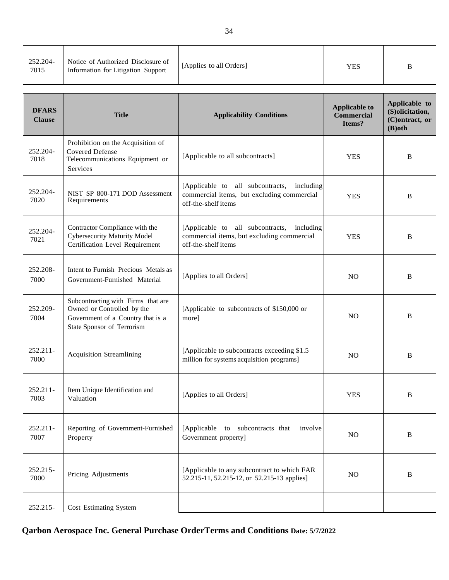| 252.204-<br>7015 | Notice of Authorized Disclosure of<br>Information for Litigation Support | [Applies to all Orders] | YES | B |
|------------------|--------------------------------------------------------------------------|-------------------------|-----|---|
|------------------|--------------------------------------------------------------------------|-------------------------|-----|---|

| <b>DFARS</b><br><b>Clause</b> | <b>Title</b>                                                                                                                        | <b>Applicability Conditions</b>                                                                                    | <b>Applicable to</b><br><b>Commercial</b><br>Items? | Applicable to<br>(S)olicitation,<br>(C)ontract, or<br>$(B)$ oth |
|-------------------------------|-------------------------------------------------------------------------------------------------------------------------------------|--------------------------------------------------------------------------------------------------------------------|-----------------------------------------------------|-----------------------------------------------------------------|
| 252.204-<br>7018              | Prohibition on the Acquisition of<br><b>Covered Defense</b><br>Telecommunications Equipment or<br>Services                          | [Applicable to all subcontracts]                                                                                   | <b>YES</b>                                          | B                                                               |
| 252.204-<br>7020              | NIST SP 800-171 DOD Assessment<br>Requirements                                                                                      | [Applicable to all subcontracts,<br>including<br>commercial items, but excluding commercial<br>off-the-shelf items | <b>YES</b>                                          | B                                                               |
| 252.204-<br>7021              | Contractor Compliance with the<br><b>Cybersecurity Maturity Model</b><br>Certification Level Requirement                            | [Applicable to all subcontracts, including<br>commercial items, but excluding commercial<br>off-the-shelf items    | <b>YES</b>                                          | B                                                               |
| 252.208-<br>7000              | Intent to Furnish Precious Metals as<br>Government-Furnished Material                                                               | [Applies to all Orders]                                                                                            | N <sub>O</sub>                                      | B                                                               |
| 252.209-<br>7004              | Subcontracting with Firms that are<br>Owned or Controlled by the<br>Government of a Country that is a<br>State Sponsor of Terrorism | [Applicable to subcontracts of \$150,000 or<br>more]                                                               | N <sub>O</sub>                                      | B                                                               |
| 252.211-<br>7000              | <b>Acquisition Streamlining</b>                                                                                                     | [Applicable to subcontracts exceeding \$1.5]<br>million for systems acquisition programs]                          | N <sub>O</sub>                                      | B                                                               |
| 252.211-<br>7003              | Item Unique Identification and<br>Valuation                                                                                         | [Applies to all Orders]                                                                                            | <b>YES</b>                                          | B                                                               |
| 252.211-<br>7007              | Reporting of Government-Furnished<br>Property                                                                                       | [Applicable to subcontracts that<br>involve<br>Government property]                                                | NO                                                  | $\bf{B}$                                                        |
| 252.215-<br>7000              | Pricing Adjustments                                                                                                                 | [Applicable to any subcontract to which FAR<br>52.215-11, 52.215-12, or 52.215-13 applies]                         | NO                                                  | B                                                               |
| 252.215-                      | <b>Cost Estimating System</b>                                                                                                       |                                                                                                                    |                                                     |                                                                 |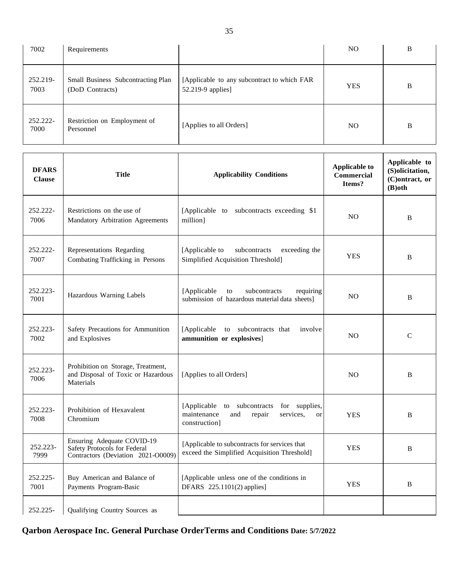| 7002             | Requirements                                          |                                                                  | NO.        | B |
|------------------|-------------------------------------------------------|------------------------------------------------------------------|------------|---|
| 252.219-<br>7003 | Small Business Subcontracting Plan<br>(DoD Contracts) | [Applicable to any subcontract to which FAR<br>52.219-9 applies] | <b>YES</b> | B |
| 252.222-<br>7000 | Restriction on Employment of<br>Personnel             | [Applies to all Orders]                                          | NO.        | B |

| <b>DFARS</b><br><b>Clause</b> | <b>Title</b>                                                                                     | <b>Applicability Conditions</b>                                                                                          | <b>Applicable to</b><br><b>Commercial</b><br>Items? | Applicable to<br>(S)olicitation,<br>(C)ontract, or<br>$(B)$ oth |
|-------------------------------|--------------------------------------------------------------------------------------------------|--------------------------------------------------------------------------------------------------------------------------|-----------------------------------------------------|-----------------------------------------------------------------|
| 252.222-<br>7006              | Restrictions on the use of<br>Mandatory Arbitration Agreements                                   | [Applicable to subcontracts exceeding \$1<br>million]                                                                    | N <sub>O</sub>                                      | B                                                               |
| 252.222-<br>7007              | Representations Regarding<br>Combating Trafficking in Persons                                    | [Applicable to<br>subcontracts<br>exceeding the<br>Simplified Acquisition Threshold]                                     | <b>YES</b>                                          | B                                                               |
| 252.223-<br>7001              | Hazardous Warning Labels                                                                         | [Applicable<br>subcontracts<br>requiring<br>to<br>submission of hazardous material data sheets]                          | N <sub>O</sub>                                      | B                                                               |
| 252.223-<br>7002              | Safety Precautions for Ammunition<br>and Explosives                                              | to subcontracts that<br>[Applicable]<br>involve<br>ammunition or explosives]                                             | <b>NO</b>                                           | $\mathbf C$                                                     |
| 252.223-<br>7006              | Prohibition on Storage, Treatment,<br>and Disposal of Toxic or Hazardous<br>Materials            | [Applies to all Orders]                                                                                                  | <b>NO</b>                                           | B                                                               |
| 252.223-<br>7008              | Prohibition of Hexavalent<br>Chromium                                                            | [Applicable to subcontracts]<br>for supplies,<br>maintenance<br>repair<br>services.<br>and<br><b>or</b><br>construction] | <b>YES</b>                                          | B                                                               |
| 252.223-<br>7999              | Ensuring Adequate COVID-19<br>Safety Protocols for Federal<br>Contractors (Deviation 2021-O0009) | [Applicable to subcontracts for services that<br>exceed the Simplified Acquisition Threshold]                            | <b>YES</b>                                          | B                                                               |
| 252.225-<br>7001              | Buy American and Balance of<br>Payments Program-Basic                                            | [Applicable unless one of the conditions in<br>DFARS 225.1101(2) applies]                                                | <b>YES</b>                                          | B                                                               |
| 252.225-                      | Qualifying Country Sources as                                                                    |                                                                                                                          |                                                     |                                                                 |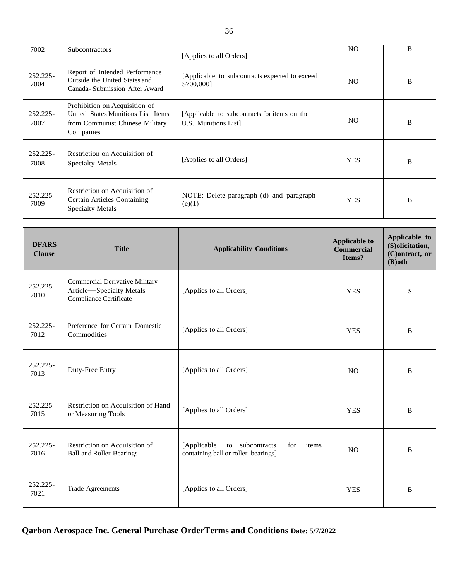| 7002                | Subcontractors                                                                                                      | [Applies to all Orders]                                              | NO.        | B |
|---------------------|---------------------------------------------------------------------------------------------------------------------|----------------------------------------------------------------------|------------|---|
| $252.225 -$<br>7004 | Report of Intended Performance<br>Outside the United States and<br>Canada-Submission After Award                    | [Applicable to subcontracts expected to exceed]<br>\$700,000]        | NO.        | B |
| $252.225 -$<br>7007 | Prohibition on Acquisition of<br>United States Munitions List Items<br>from Communist Chinese Military<br>Companies | [Applicable to subcontracts for items on the<br>U.S. Munitions List] | NO.        | B |
| 252.225-<br>7008    | Restriction on Acquisition of<br><b>Specialty Metals</b>                                                            | [Applies to all Orders]                                              | <b>YES</b> | B |
| $252.225 -$<br>7009 | Restriction on Acquisition of<br>Certain Articles Containing<br><b>Specialty Metals</b>                             | NOTE: Delete paragraph (d) and paragraph<br>(e)(1)                   | <b>YES</b> | B |

| <b>DFARS</b><br><b>Clause</b> | <b>Title</b>                                                                                | <b>Applicability Conditions</b>                                                       | <b>Applicable to</b><br><b>Commercial</b><br>Items? | Applicable to<br>(S)olicitation,<br>(C)ontract, or<br>$(B)$ oth |
|-------------------------------|---------------------------------------------------------------------------------------------|---------------------------------------------------------------------------------------|-----------------------------------------------------|-----------------------------------------------------------------|
| $252.225 -$<br>7010           | <b>Commercial Derivative Military</b><br>Article-Specialty Metals<br>Compliance Certificate | [Applies to all Orders]                                                               | <b>YES</b>                                          | S                                                               |
| $252.225 -$<br>7012           | Preference for Certain Domestic<br>Commodities                                              | [Applies to all Orders]                                                               | <b>YES</b>                                          | B                                                               |
| 252.225-<br>7013              | Duty-Free Entry                                                                             | [Applies to all Orders]                                                               | N <sub>O</sub>                                      | B                                                               |
| 252.225-<br>7015              | Restriction on Acquisition of Hand<br>or Measuring Tools                                    | [Applies to all Orders]                                                               | <b>YES</b>                                          | B                                                               |
| $252.225 -$<br>7016           | Restriction on Acquisition of<br><b>Ball and Roller Bearings</b>                            | [Applicable<br>to subcontracts<br>items<br>for<br>containing ball or roller bearings] | NO.                                                 | B                                                               |
| 252.225-<br>7021              | <b>Trade Agreements</b>                                                                     | [Applies to all Orders]                                                               | <b>YES</b>                                          | B                                                               |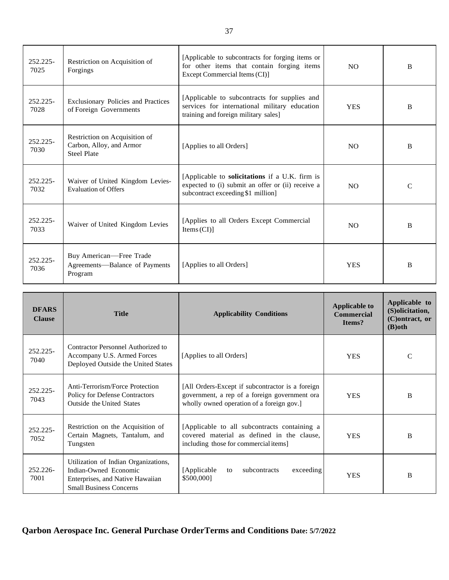| $252.225 -$<br>7025 | Restriction on Acquisition of<br>Forgings                                       | [Applicable to subcontracts for forging items or<br>for other items that contain forging items<br>Except Commercial Items (CI)]                  | N <sub>O</sub> | <sub>B</sub>  |
|---------------------|---------------------------------------------------------------------------------|--------------------------------------------------------------------------------------------------------------------------------------------------|----------------|---------------|
| $252.225 -$<br>7028 | Exclusionary Policies and Practices<br>of Foreign Governments                   | [Applicable to subcontracts for supplies and<br>services for international military education<br>training and foreign military sales]            | <b>YES</b>     | <sub>B</sub>  |
| 252.225-<br>7030    | Restriction on Acquisition of<br>Carbon, Alloy, and Armor<br><b>Steel Plate</b> | [Applies to all Orders]                                                                                                                          | N <sub>O</sub> | <sub>B</sub>  |
| 252.225-<br>7032    | Waiver of United Kingdom Levies-<br><b>Evaluation of Offers</b>                 | [Applicable to <b>solicitations</b> if a U.K. firm is<br>expected to (i) submit an offer or (ii) receive a<br>subcontract exceeding \$1 million] | NO             | $\mathcal{C}$ |
| $252.225 -$<br>7033 | Waiver of United Kingdom Levies                                                 | [Applies to all Orders Except Commercial<br>Items $(CI)$ ]                                                                                       | N <sub>O</sub> | <sub>B</sub>  |
| $252.225 -$<br>7036 | Buy American-Free Trade<br>Agreements—Balance of Payments<br>Program            | [Applies to all Orders]                                                                                                                          | <b>YES</b>     | <sub>B</sub>  |

| <b>DFARS</b><br><b>Clause</b> | <b>Title</b>                                                                                                                        | <b>Applicability Conditions</b>                                                                                                                | <b>Applicable to</b><br><b>Commercial</b><br>Items? | Applicable to<br>(S) olicitation,<br>(C) ontract, or<br>$(B)$ oth |
|-------------------------------|-------------------------------------------------------------------------------------------------------------------------------------|------------------------------------------------------------------------------------------------------------------------------------------------|-----------------------------------------------------|-------------------------------------------------------------------|
| 252.225-<br>7040              | Contractor Personnel Authorized to<br>Accompany U.S. Armed Forces<br>Deployed Outside the United States                             | [Applies to all Orders]                                                                                                                        | <b>YES</b>                                          | C                                                                 |
| $252.225 -$<br>7043           | Anti-Terrorism/Force Protection<br>Policy for Defense Contractors<br><b>Outside the United States</b>                               | [All Orders-Except if subcontractor is a foreign<br>government, a rep of a foreign government ora<br>wholly owned operation of a foreign gov.] | <b>YES</b>                                          | B                                                                 |
| $252.225 -$<br>7052           | Restriction on the Acquisition of<br>Certain Magnets, Tantalum, and<br>Tungsten                                                     | [Applicable to all subcontracts containing a<br>covered material as defined in the clause.<br>including those for commercial items]            | <b>YES</b>                                          | B                                                                 |
| $252.226 -$<br>7001           | Utilization of Indian Organizations,<br>Indian-Owned Economic<br>Enterprises, and Native Hawaiian<br><b>Small Business Concerns</b> | [Applicable]<br>subcontracts<br>exceeding<br>to<br>\$500,000]                                                                                  | <b>YES</b>                                          | B                                                                 |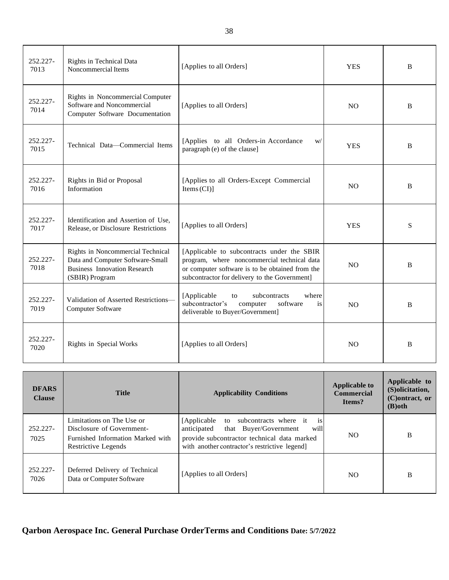| 252.227-<br>7013 | Rights in Technical Data<br>Noncommercial Items                                                                                | [Applies to all Orders]                                                                                                                                                                       | <b>YES</b>     | B |
|------------------|--------------------------------------------------------------------------------------------------------------------------------|-----------------------------------------------------------------------------------------------------------------------------------------------------------------------------------------------|----------------|---|
| 252.227-<br>7014 | Rights in Noncommercial Computer<br>Software and Noncommercial<br>Computer Software Documentation                              | [Applies to all Orders]                                                                                                                                                                       | N <sub>O</sub> | B |
| 252.227-<br>7015 | Technical Data-Commercial Items                                                                                                | [Applies to all Orders-in Accordance<br>W/<br>paragraph (e) of the clause]                                                                                                                    | <b>YES</b>     | B |
| 252.227-<br>7016 | Rights in Bid or Proposal<br>Information                                                                                       | [Applies to all Orders-Except Commercial<br>Items (CI)                                                                                                                                        | <b>NO</b>      | B |
| 252.227-<br>7017 | Identification and Assertion of Use,<br>Release, or Disclosure Restrictions                                                    | [Applies to all Orders]                                                                                                                                                                       | <b>YES</b>     | S |
| 252.227-<br>7018 | Rights in Noncommercial Technical<br>Data and Computer Software-Small<br><b>Business Innovation Research</b><br>(SBIR) Program | [Applicable to subcontracts under the SBIR<br>program, where noncommercial technical data<br>or computer software is to be obtained from the<br>subcontractor for delivery to the Government] | <b>NO</b>      | B |
| 252.227-<br>7019 | Validation of Asserted Restrictions-<br>Computer Software                                                                      | [Applicable<br>subcontracts<br>where<br>to<br>subcontractor's<br>computer<br>software<br>is<br>deliverable to Buyer/Government]                                                               | NO             | B |
| 252.227-<br>7020 | Rights in Special Works                                                                                                        | [Applies to all Orders]                                                                                                                                                                       | N <sub>O</sub> | B |

| <b>DFARS</b><br><b>Clause</b> | <b>Title</b>                                                                                                       | <b>Applicability Conditions</b>                                                                                                                                                                       | <b>Applicable to</b><br><b>Commercial</b><br>Items? | Applicable to<br>(S) olicitation,<br>(C)ontract, or<br>$(B)$ oth |
|-------------------------------|--------------------------------------------------------------------------------------------------------------------|-------------------------------------------------------------------------------------------------------------------------------------------------------------------------------------------------------|-----------------------------------------------------|------------------------------------------------------------------|
| 252.227-<br>7025              | Limitations on The Use or<br>Disclosure of Government-<br>Furnished Information Marked with<br>Restrictive Legends | [Applicable to subcontracts where it<br><sup>1</sup> S<br>anticipated<br>will<br>that Buyer/Government<br>provide subcontractor technical data marked<br>with another contractor's restrictive legend | N <sub>O</sub>                                      | B                                                                |
| 252.227-<br>7026              | Deferred Delivery of Technical<br>Data or Computer Software                                                        | [Applies to all Orders]                                                                                                                                                                               | NO.                                                 | B                                                                |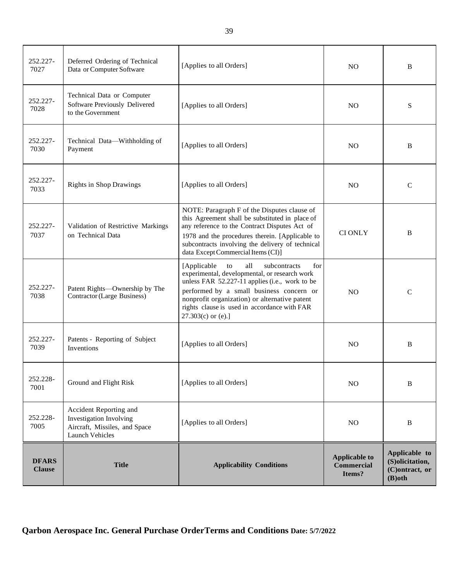| 252.227-<br>7027              | Deferred Ordering of Technical<br>Data or Computer Software                                                  | [Applies to all Orders]                                                                                                                                                                                                                                                                                                  | N <sub>O</sub>                                      | B                                                               |
|-------------------------------|--------------------------------------------------------------------------------------------------------------|--------------------------------------------------------------------------------------------------------------------------------------------------------------------------------------------------------------------------------------------------------------------------------------------------------------------------|-----------------------------------------------------|-----------------------------------------------------------------|
| 252.227-<br>7028              | Technical Data or Computer<br>Software Previously Delivered<br>to the Government                             | [Applies to all Orders]                                                                                                                                                                                                                                                                                                  | N <sub>O</sub>                                      | S                                                               |
| 252.227-<br>7030              | Technical Data-Withholding of<br>Payment                                                                     | [Applies to all Orders]                                                                                                                                                                                                                                                                                                  | N <sub>O</sub>                                      | B                                                               |
| 252.227-<br>7033              | <b>Rights in Shop Drawings</b>                                                                               | [Applies to all Orders]                                                                                                                                                                                                                                                                                                  | N <sub>O</sub>                                      | $\mathcal{C}$                                                   |
| 252.227-<br>7037              | Validation of Restrictive Markings<br>on Technical Data                                                      | NOTE: Paragraph F of the Disputes clause of<br>this Agreement shall be substituted in place of<br>any reference to the Contract Disputes Act of<br>1978 and the procedures therein. [Applicable to<br>subcontracts involving the delivery of technical<br>data Except Commercial Items (CI)]                             | <b>CIONLY</b>                                       | B                                                               |
| 252.227-<br>7038              | Patent Rights-Ownership by The<br><b>Contractor</b> (Large Business)                                         | [Applicable]<br>all<br>subcontracts<br>to<br>for<br>experimental, developmental, or research work<br>unless FAR 52.227-11 applies (i.e., work to be<br>performed by a small business concern or<br>nonprofit organization) or alternative patent<br>rights clause is used in accordance with FAR<br>$27.303(c)$ or (e).] | N <sub>O</sub>                                      | $\mathsf{C}$                                                    |
| 252.227-<br>7039              | Patents - Reporting of Subject<br><b>Inventions</b>                                                          | [Applies to all Orders]                                                                                                                                                                                                                                                                                                  | N <sub>O</sub>                                      | B                                                               |
| 252.228-<br>7001              | Ground and Flight Risk                                                                                       | [Applies to all Orders]                                                                                                                                                                                                                                                                                                  | N <sub>O</sub>                                      | B                                                               |
| 252.228-<br>7005              | Accident Reporting and<br>Investigation Involving<br>Aircraft, Missiles, and Space<br><b>Launch Vehicles</b> | [Applies to all Orders]                                                                                                                                                                                                                                                                                                  | NO                                                  | B                                                               |
| <b>DFARS</b><br><b>Clause</b> | <b>Title</b>                                                                                                 | <b>Applicability Conditions</b>                                                                                                                                                                                                                                                                                          | <b>Applicable to</b><br><b>Commercial</b><br>Items? | Applicable to<br>(S)olicitation,<br>(C)ontract, or<br>$(B)$ oth |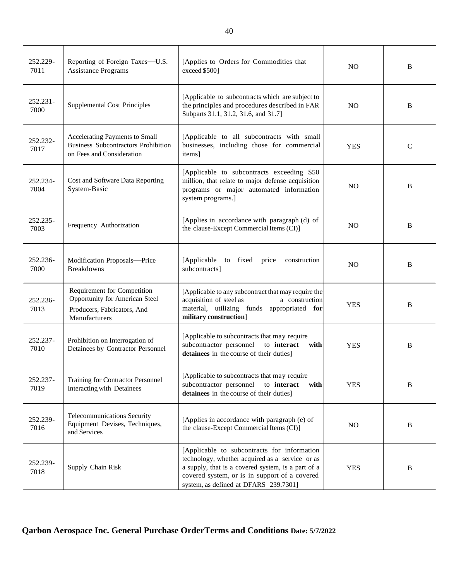| 252.229-<br>7011    | Reporting of Foreign Taxes-U.S.<br><b>Assistance Programs</b>                                                        | [Applies to Orders for Commodities that<br>exceed \$500]                                                                                                                                                                                       | <b>NO</b>      | B            |
|---------------------|----------------------------------------------------------------------------------------------------------------------|------------------------------------------------------------------------------------------------------------------------------------------------------------------------------------------------------------------------------------------------|----------------|--------------|
| $252.231 -$<br>7000 | <b>Supplemental Cost Principles</b>                                                                                  | [Applicable to subcontracts which are subject to<br>the principles and procedures described in FAR<br>Subparts 31.1, 31.2, 31.6, and 31.7]                                                                                                     | <b>NO</b>      | <sub>B</sub> |
| 252.232-<br>7017    | Accelerating Payments to Small<br><b>Business Subcontractors Prohibition</b><br>on Fees and Consideration            | [Applicable to all subcontracts with small<br>businesses, including those for commercial<br>items]                                                                                                                                             | <b>YES</b>     | $\mathsf{C}$ |
| 252.234-<br>7004    | Cost and Software Data Reporting<br>System-Basic                                                                     | [Applicable to subcontracts exceeding \$50<br>million, that relate to major defense acquisition<br>programs or major automated information<br>system programs.]                                                                                | <b>NO</b>      | B            |
| 252.235-<br>7003    | Frequency Authorization                                                                                              | [Applies in accordance with paragraph (d) of<br>the clause-Except Commercial Items (CI)]                                                                                                                                                       | N <sub>O</sub> | B            |
| 252.236-<br>7000    | Modification Proposals-Price<br><b>Breakdowns</b>                                                                    | [Applicable to fixed price<br>construction<br>subcontracts]                                                                                                                                                                                    | <b>NO</b>      | B            |
| 252.236-<br>7013    | Requirement for Competition<br><b>Opportunity for American Steel</b><br>Producers, Fabricators, And<br>Manufacturers | [Applicable to any subcontract that may require the<br>acquisition of steel as<br>a construction<br>material, utilizing funds appropriated for<br>military construction]                                                                       | <b>YES</b>     | B            |
| 252.237-<br>7010    | Prohibition on Interrogation of<br>Detainees by Contractor Personnel                                                 | [Applicable to subcontracts that may require<br>subcontractor personnel<br>to interact<br>with<br>detainees in the course of their duties]                                                                                                     | <b>YES</b>     | B            |
| 252.237-<br>7019    | <b>Training for Contractor Personnel</b><br>Interacting with Detainees                                               | [Applicable to subcontracts that may require<br>to interact<br>subcontractor personnel<br>with<br>detainees in the course of their duties]                                                                                                     | <b>YES</b>     | B            |
| 252.239-<br>7016    | Telecommunications Security<br>Equipment Devises, Techniques,<br>and Services                                        | [Applies in accordance with paragraph (e) of<br>the clause-Except Commercial Items (CI)]                                                                                                                                                       | NO             | B            |
| 252.239-<br>7018    | Supply Chain Risk                                                                                                    | [Applicable to subcontracts for information<br>technology, whether acquired as a service or as<br>a supply, that is a covered system, is a part of a<br>covered system, or is in support of a covered<br>system, as defined at DFARS 239.7301] | <b>YES</b>     | B            |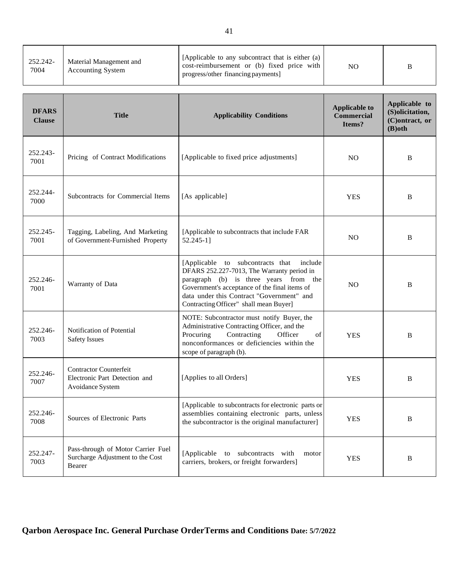| 252.242-<br>Material Management and<br>7004<br><b>Accounting System</b> | [Applicable to any subcontract that is either (a)<br>cost-reimbursement or (b) fixed price with<br>progress/other financing payments] | NO | B |
|-------------------------------------------------------------------------|---------------------------------------------------------------------------------------------------------------------------------------|----|---|
|-------------------------------------------------------------------------|---------------------------------------------------------------------------------------------------------------------------------------|----|---|

| <b>DFARS</b><br><b>Clause</b> | <b>Title</b>                                                                       | <b>Applicability Conditions</b>                                                                                                                                                                                                                                         | <b>Applicable to</b><br><b>Commercial</b><br>Items? | Applicable to<br>(S)olicitation,<br>(C)ontract, or<br>$(B)$ oth |
|-------------------------------|------------------------------------------------------------------------------------|-------------------------------------------------------------------------------------------------------------------------------------------------------------------------------------------------------------------------------------------------------------------------|-----------------------------------------------------|-----------------------------------------------------------------|
| 252.243-<br>7001              | Pricing of Contract Modifications                                                  | [Applicable to fixed price adjustments]                                                                                                                                                                                                                                 | N <sub>O</sub>                                      | B                                                               |
| 252.244-<br>7000              | Subcontracts for Commercial Items                                                  | [As applicable]                                                                                                                                                                                                                                                         | <b>YES</b>                                          | B                                                               |
| 252.245-<br>7001              | Tagging, Labeling, And Marketing<br>of Government-Furnished Property               | [Applicable to subcontracts that include FAR<br>52.245-1]                                                                                                                                                                                                               | <b>NO</b>                                           | B                                                               |
| 252.246-<br>7001              | Warranty of Data                                                                   | [Applicable to subcontracts that include<br>DFARS 252.227-7013, The Warranty period in<br>paragraph (b) is three years from the<br>Government's acceptance of the final items of<br>data under this Contract "Government" and<br>Contracting Officer" shall mean Buyer] | N <sub>O</sub>                                      | B                                                               |
| 252.246-<br>7003              | Notification of Potential<br><b>Safety Issues</b>                                  | NOTE: Subcontractor must notify Buyer, the<br>Administrative Contracting Officer, and the<br>Contracting<br>Procuring<br>Officer<br>of<br>nonconformances or deficiencies within the<br>scope of paragraph (b).                                                         | <b>YES</b>                                          | B                                                               |
| 252.246-<br>7007              | <b>Contractor Counterfeit</b><br>Electronic Part Detection and<br>Avoidance System | [Applies to all Orders]                                                                                                                                                                                                                                                 | <b>YES</b>                                          | B                                                               |
| 252.246-<br>7008              | Sources of Electronic Parts                                                        | [Applicable to subcontracts for electronic parts or<br>assemblies containing electronic parts, unless<br>the subcontractor is the original manufacturer]                                                                                                                | <b>YES</b>                                          | B                                                               |
| 252.247-<br>7003              | Pass-through of Motor Carrier Fuel<br>Surcharge Adjustment to the Cost<br>Bearer   | [Applicable to subcontracts with<br>motor<br>carriers, brokers, or freight forwarders]                                                                                                                                                                                  | <b>YES</b>                                          | B                                                               |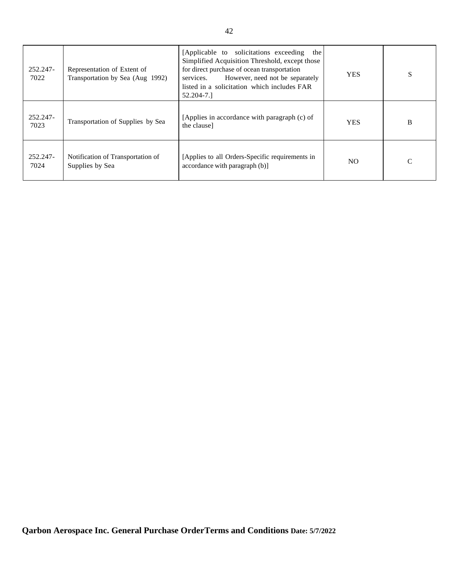| 252.247-<br>7022 | Representation of Extent of<br>Transportation by Sea (Aug 1992) | [Applicable to solicitations exceeding]<br>the<br>Simplified Acquisition Threshold, except those<br>for direct purchase of ocean transportation<br>However, need not be separately<br>services.<br>listed in a solicitation which includes FAR<br>52.204-7.1 | <b>YES</b> | S |
|------------------|-----------------------------------------------------------------|--------------------------------------------------------------------------------------------------------------------------------------------------------------------------------------------------------------------------------------------------------------|------------|---|
| 252.247-<br>7023 | Transportation of Supplies by Sea                               | [Applies in accordance with paragraph (c) of<br>the clause]                                                                                                                                                                                                  | <b>YES</b> | B |
| 252.247-<br>7024 | Notification of Transportation of<br>Supplies by Sea            | [Applies to all Orders-Specific requirements in<br>accordance with paragraph (b)]                                                                                                                                                                            | NO.        |   |